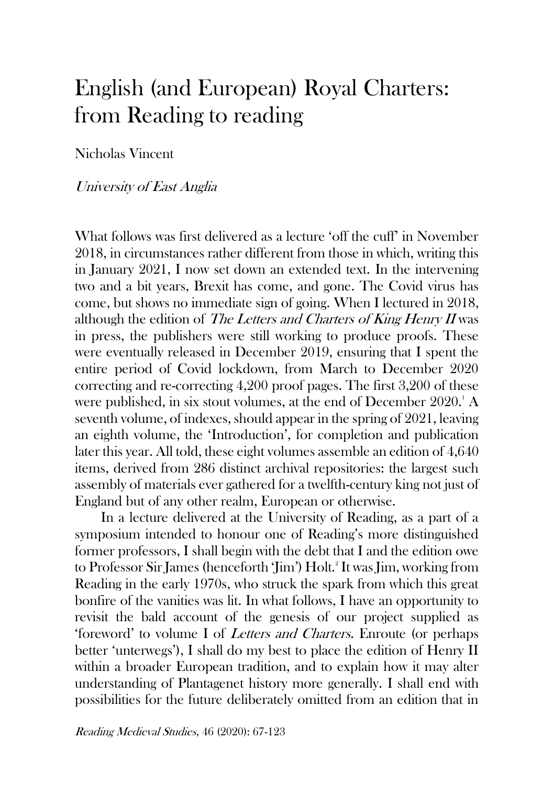## English (and European) Royal Charters: from Reading to reading

Nicholas Vincent

## University of East Anglia

What follows was first delivered as a lecture 'off the cuff' in November 2018, in circumstances rather different from those in which, writing this in January 2021, I now set down an extended text. In the intervening two and a bit years, Brexit has come, and gone. The Covid virus has come, but shows no immediate sign of going. When I lectured in 2018, although the edition of The Letters and Charters of King Henry II was in press, the publishers were still working to produce proofs. These were eventually released in December 2019, ensuring that I spent the entire period of Covid lockdown, from March to December 2020 correcting and re-correcting 4,200 proof pages. The first 3,200 of these were published, in six stout volumes, at the end of December  $2020$ .<sup>1</sup> A seventh volume, of indexes, should appear in the spring of 2021, leaving an eighth volume, the 'Introduction', for completion and publication later this year. All told, these eight volumes assemble an edition of 4,640 items, derived from 286 distinct archival repositories: the largest such assembly of materials ever gathered for a twelfth-century king not just of England but of any other realm, European or otherwise.

In a lecture delivered at the University of Reading, as a part of a symposium intended to honour one of Reading's more distinguished former professors, I shall begin with the debt that I and the edition owe to Professor Sir James (henceforth 'Jim') Holt.<sup>2</sup> It was Jim, working from Reading in the early 1970s, who struck the spark from which this great bonfire of the vanities was lit. In what follows, I have an opportunity to revisit the bald account of the genesis of our project supplied as 'foreword' to volume I of Letters and Charters. Enroute (or perhaps better 'unterwegs'), I shall do my best to place the edition of Henry II within a broader European tradition, and to explain how it may alter understanding of Plantagenet history more generally. I shall end with possibilities for the future deliberately omitted from an edition that in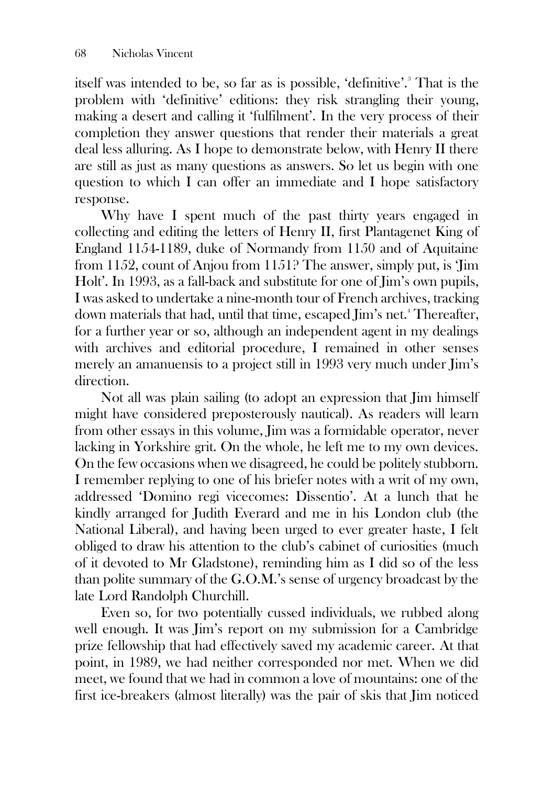itself was intended to be, so far as is possible, 'definitive'.<sup>3</sup> That is the problem with 'definitive' editions: they risk strangling their young, making a desert and calling it 'fulfilment'. In the very process of their completion they answer questions that render their materials a great deal less alluring. As I hope to demonstrate below, with Henry II there are still as just as many questions as answers. So let us begin with one question to which I can offer an immediate and I hope satisfactory response.

Why have I spent much of the past thirty years engaged in collecting and editing the letters of Henry II, first Plantagenet King of England 1154-1189, duke of Normandy from 1150 and of Aquitaine from 1152, count of Anjou from 1151? The answer, simply put, is 'Jim Holt'. In 1993, as a fall-back and substitute for one of Jim's own pupils, I was asked to undertake a nine-month tour of French archives, tracking down materials that had, until that time, escaped Jim's net.<sup>4</sup> Thereafter, for a further year or so, although an independent agent in my dealings with archives and editorial procedure, I remained in other senses merely an amanuensis to a project still in 1993 very much under Jim's direction.

Not all was plain sailing (to adopt an expression that Jim himself might have considered preposterously nautical). As readers will learn from other essays in this volume, Jim was a formidable operator, never lacking in Yorkshire grit. On the whole, he left me to my own devices. On the few occasions when we disagreed, he could be politely stubborn. I remember replying to one of his briefer notes with a writ of my own, addressed 'Domino regi vicecomes: Dissentio'. At a lunch that he kindly arranged for Judith Everard and me in his London club (the National Liberal), and having been urged to ever greater haste, I felt obliged to draw his attention to the club's cabinet of curiosities (much of it devoted to Mr Gladstone), reminding him as I did so of the less than polite summary of the G.O.M.'s sense of urgency broadcast by the late Lord Randolph Churchill.

Even so, for two potentially cussed individuals, we rubbed along well enough. It was Jim's report on my submission for a Cambridge prize fellowship that had effectively saved my academic career. At that point, in 1989, we had neither corresponded nor met. When we did meet, we found that we had in common a love of mountains: one of the first ice-breakers (almost literally) was the pair of skis that Jim noticed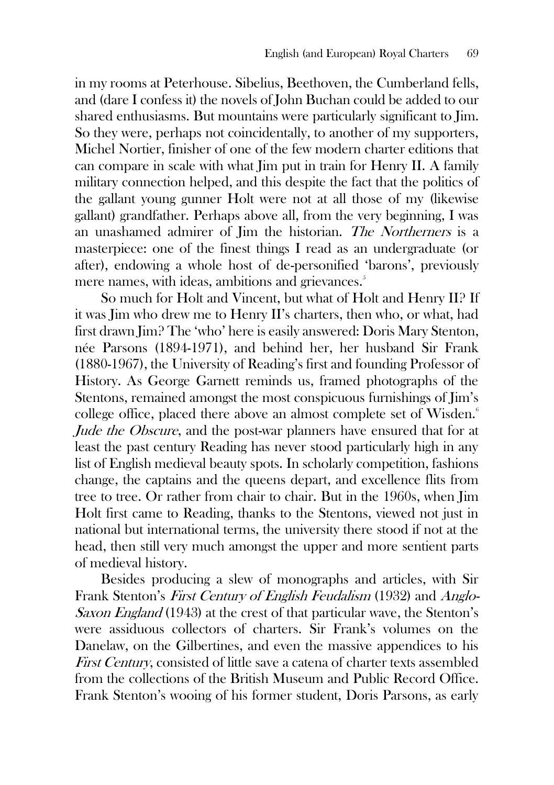in my rooms at Peterhouse. Sibelius, Beethoven, the Cumberland fells, and (dare I confess it) the novels of John Buchan could be added to our shared enthusiasms. But mountains were particularly significant to Jim. So they were, perhaps not coincidentally, to another of my supporters, Michel Nortier, finisher of one of the few modern charter editions that can compare in scale with what Jim put in train for Henry II. A family military connection helped, and this despite the fact that the politics of the gallant young gunner Holt were not at all those of my (likewise gallant) grandfather. Perhaps above all, from the very beginning, I was an unashamed admirer of Jim the historian. The Northerners is a masterpiece: one of the finest things I read as an undergraduate (or after), endowing a whole host of de-personified 'barons', previously mere names, with ideas, ambitions and grievances.<sup>5</sup>

So much for Holt and Vincent, but what of Holt and Henry II? If it was Jim who drew me to Henry II's charters, then who, or what, had first drawn Jim? The 'who' here is easily answered: Doris Mary Stenton, née Parsons (1894-1971), and behind her, her husband Sir Frank (1880-1967), the University of Reading's first and founding Professor of History. As George Garnett reminds us, framed photographs of the Stentons, remained amongst the most conspicuous furnishings of Jim's college office, placed there above an almost complete set of Wisden.<sup>6</sup> *Jude the Obscure*, and the post-war planners have ensured that for at least the past century Reading has never stood particularly high in any list of English medieval beauty spots. In scholarly competition, fashions change, the captains and the queens depart, and excellence flits from tree to tree. Or rather from chair to chair. But in the 1960s, when Jim Holt first came to Reading, thanks to the Stentons, viewed not just in national but international terms, the university there stood if not at the head, then still very much amongst the upper and more sentient parts of medieval history.

Besides producing a slew of monographs and articles, with Sir Frank Stenton's First Century of English Feudalism (1932) and Anglo-Saxon England (1943) at the crest of that particular wave, the Stenton's were assiduous collectors of charters. Sir Frank's volumes on the Danelaw, on the Gilbertines, and even the massive appendices to his First Century, consisted of little save a catena of charter texts assembled from the collections of the British Museum and Public Record Office. Frank Stenton's wooing of his former student, Doris Parsons, as early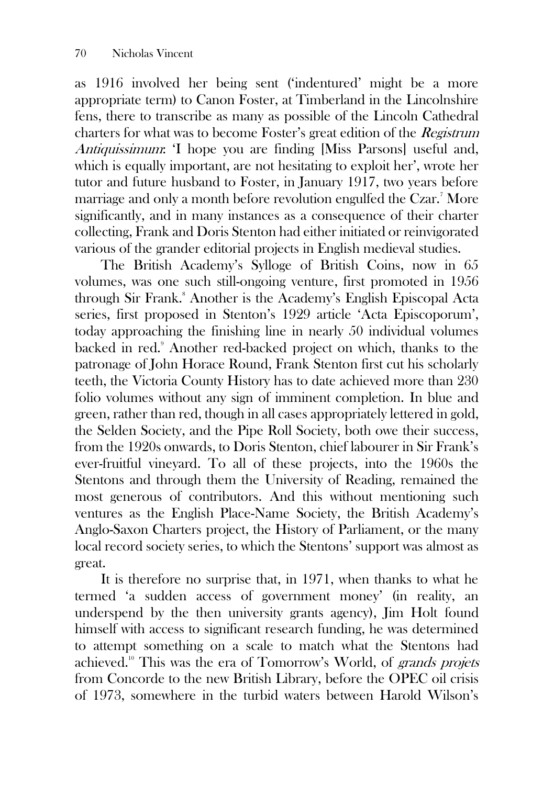as 1916 involved her being sent ('indentured' might be a more appropriate term) to Canon Foster, at Timberland in the Lincolnshire fens, there to transcribe as many as possible of the Lincoln Cathedral charters for what was to become Foster's great edition of the Registrum Antiquissimum: 'I hope you are finding [Miss Parsons] useful and, which is equally important, are not hesitating to exploit her', wrote her tutor and future husband to Foster, in January 1917, two years before marriage and only a month before revolution engulfed the Czar.<sup>7</sup> More significantly, and in many instances as a consequence of their charter collecting, Frank and Doris Stenton had either initiated or reinvigorated various of the grander editorial projects in English medieval studies.

The British Academy's Sylloge of British Coins, now in 65 volumes, was one such still-ongoing venture, first promoted in 1956 through Sir Frank.<sup>8</sup> Another is the Academy's English Episcopal Acta series, first proposed in Stenton's 1929 article 'Acta Episcoporum', today approaching the finishing line in nearly 50 individual volumes backed in red.<sup>9</sup> Another red-backed project on which, thanks to the patronage of John Horace Round, Frank Stenton first cut his scholarly teeth, the Victoria County History has to date achieved more than 230 folio volumes without any sign of imminent completion. In blue and green, rather than red, though in all cases appropriately lettered in gold, the Selden Society, and the Pipe Roll Society, both owe their success, from the 1920s onwards, to Doris Stenton, chief labourer in Sir Frank's ever-fruitful vineyard. To all of these projects, into the 1960s the Stentons and through them the University of Reading, remained the most generous of contributors. And this without mentioning such ventures as the English Place-Name Society, the British Academy's Anglo-Saxon Charters project, the History of Parliament, or the many local record society series, to which the Stentons' support was almost as great.

It is therefore no surprise that, in 1971, when thanks to what he termed 'a sudden access of government money' (in reality, an underspend by the then university grants agency), Jim Holt found himself with access to significant research funding, he was determined to attempt something on a scale to match what the Stentons had achieved.<sup>10</sup> This was the era of Tomorrow's World, of grands projets from Concorde to the new British Library, before the OPEC oil crisis of 1973, somewhere in the turbid waters between Harold Wilson's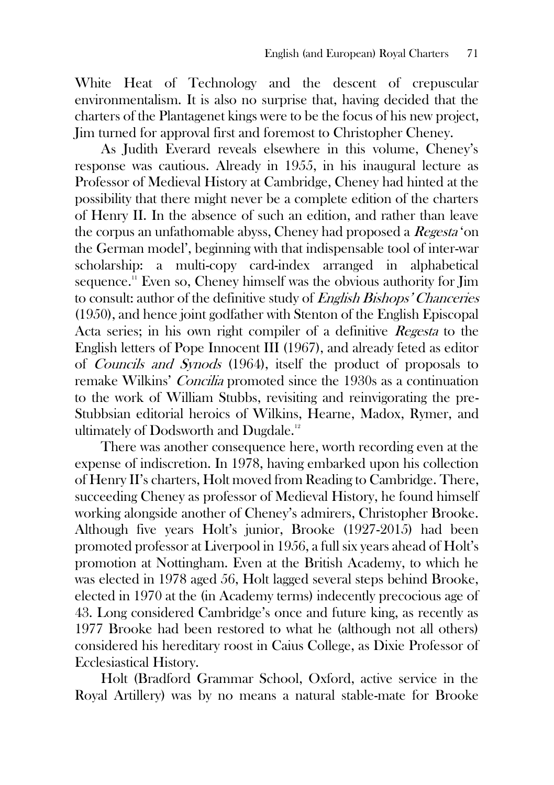White Heat of Technology and the descent of crepuscular environmentalism. It is also no surprise that, having decided that the charters of the Plantagenet kings were to be the focus of his new project, Jim turned for approval first and foremost to Christopher Cheney.

As Judith Everard reveals elsewhere in this volume, Cheney's response was cautious. Already in 1955, in his inaugural lecture as Professor of Medieval History at Cambridge, Cheney had hinted at the possibility that there might never be a complete edition of the charters of Henry II. In the absence of such an edition, and rather than leave the corpus an unfathomable abyss, Cheney had proposed a Regesta 'on the German model', beginning with that indispensable tool of inter-war scholarship: a multi-copy card-index arranged in alphabetical sequence.<sup>11</sup> Even so, Cheney himself was the obvious authority for Jim to consult: author of the definitive study of English Bishops' Chanceries (1950), and hence joint godfather with Stenton of the English Episcopal Acta series; in his own right compiler of a definitive Regesta to the English letters of Pope Innocent III (1967), and already feted as editor of Councils and Synods (1964), itself the product of proposals to remake Wilkins' Concilia promoted since the 1930s as a continuation to the work of William Stubbs, revisiting and reinvigorating the pre-Stubbsian editorial heroics of Wilkins, Hearne, Madox, Rymer, and ultimately of Dodsworth and Dugdale.<sup>12</sup>

There was another consequence here, worth recording even at the expense of indiscretion. In 1978, having embarked upon his collection of Henry II's charters, Holt moved from Reading to Cambridge. There, succeeding Cheney as professor of Medieval History, he found himself working alongside another of Cheney's admirers, Christopher Brooke. Although five years Holt's junior, Brooke (1927-2015) had been promoted professor at Liverpool in 1956, a full six years ahead of Holt's promotion at Nottingham. Even at the British Academy, to which he was elected in 1978 aged 56, Holt lagged several steps behind Brooke, elected in 1970 at the (in Academy terms) indecently precocious age of 43. Long considered Cambridge's once and future king, as recently as 1977 Brooke had been restored to what he (although not all others) considered his hereditary roost in Caius College, as Dixie Professor of Ecclesiastical History.

Holt (Bradford Grammar School, Oxford, active service in the Royal Artillery) was by no means a natural stable-mate for Brooke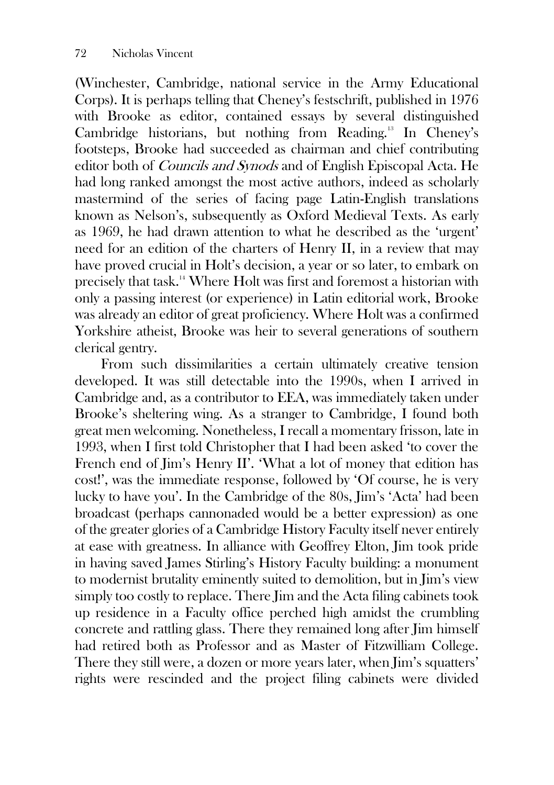(Winchester, Cambridge, national service in the Army Educational Corps). It is perhaps telling that Cheney's festschrift, published in 1976 with Brooke as editor, contained essays by several distinguished Cambridge historians, but nothing from Reading.<sup>13</sup> In Cheney's footsteps, Brooke had succeeded as chairman and chief contributing editor both of Councils and Synods and of English Episcopal Acta. He had long ranked amongst the most active authors, indeed as scholarly mastermind of the series of facing page Latin-English translations known as Nelson's, subsequently as Oxford Medieval Texts. As early as 1969, he had drawn attention to what he described as the 'urgent' need for an edition of the charters of Henry II, in a review that may have proved crucial in Holt's decision, a year or so later, to embark on precisely that task.<sup>14</sup> Where Holt was first and foremost a historian with only a passing interest (or experience) in Latin editorial work, Brooke was already an editor of great proficiency. Where Holt was a confirmed Yorkshire atheist, Brooke was heir to several generations of southern clerical gentry.

From such dissimilarities a certain ultimately creative tension developed. It was still detectable into the 1990s, when I arrived in Cambridge and, as a contributor to EEA, was immediately taken under Brooke's sheltering wing. As a stranger to Cambridge, I found both great men welcoming. Nonetheless, I recall a momentary frisson, late in 1993, when I first told Christopher that I had been asked 'to cover the French end of Jim's Henry II'. 'What a lot of money that edition has cost!', was the immediate response, followed by 'Of course, he is very lucky to have you'. In the Cambridge of the 80s, Jim's 'Acta' had been broadcast (perhaps cannonaded would be a better expression) as one of the greater glories of a Cambridge History Faculty itself never entirely at ease with greatness. In alliance with Geoffrey Elton, Jim took pride in having saved James Stirling's History Faculty building: a monument to modernist brutality eminently suited to demolition, but in Jim's view simply too costly to replace. There  $\lim$  and the Acta filing cabinets took up residence in a Faculty office perched high amidst the crumbling concrete and rattling glass. There they remained long after Jim himself had retired both as Professor and as Master of Fitzwilliam College. There they still were, a dozen or more years later, when Jim's squatters' rights were rescinded and the project filing cabinets were divided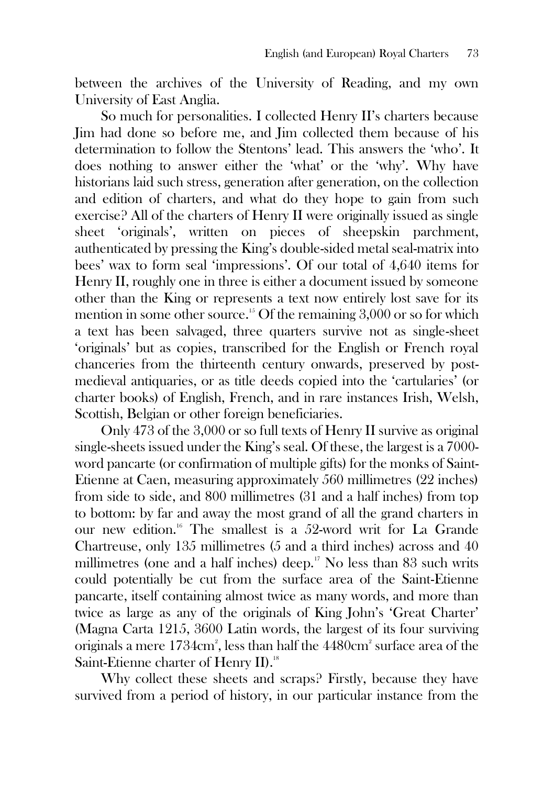between the archives of the University of Reading, and my own University of East Anglia.

So much for personalities. I collected Henry II's charters because Jim had done so before me, and Jim collected them because of his determination to follow the Stentons' lead. This answers the 'who'. It does nothing to answer either the 'what' or the 'why'. Why have historians laid such stress, generation after generation, on the collection and edition of charters, and what do they hope to gain from such exercise? All of the charters of Henry II were originally issued as single sheet 'originals', written on pieces of sheepskin parchment, authenticated by pressing the King's double-sided metal seal-matrix into bees' wax to form seal 'impressions'. Of our total of 4,640 items for Henry II, roughly one in three is either a document issued by someone other than the King or represents a text now entirely lost save for its mention in some other source.<sup>15</sup> Of the remaining  $3,000$  or so for which a text has been salvaged, three quarters survive not as single-sheet 'originals' but as copies, transcribed for the English or French royal chanceries from the thirteenth century onwards, preserved by postmedieval antiquaries, or as title deeds copied into the 'cartularies' (or charter books) of English, French, and in rare instances Irish, Welsh, Scottish, Belgian or other foreign beneficiaries.

Only 473 of the 3,000 or so full texts of Henry II survive as original single-sheets issued under the King's seal. Of these, the largest is a 7000 word pancarte (or confirmation of multiple gifts) for the monks of Saint-Etienne at Caen, measuring approximately 560 millimetres (22 inches) from side to side, and 800 millimetres (31 and a half inches) from top to bottom: by far and away the most grand of all the grand charters in our new edition.<sup>16</sup> The smallest is a 52-word writ for La Grande Chartreuse, only 135 millimetres (5 and a third inches) across and 40 millimetres (one and a half inches) deep.<sup>17</sup> No less than 83 such writs could potentially be cut from the surface area of the Saint-Etienne pancarte, itself containing almost twice as many words, and more than twice as large as any of the originals of King John's 'Great Charter' (Magna Carta 1215, 3600 Latin words, the largest of its four surviving originals a mere 1734cm<sup>2</sup>, less than half the 4480cm<sup>2</sup> surface area of the Saint-Etienne charter of Henry II).<sup>18</sup>

Why collect these sheets and scraps? Firstly, because they have survived from a period of history, in our particular instance from the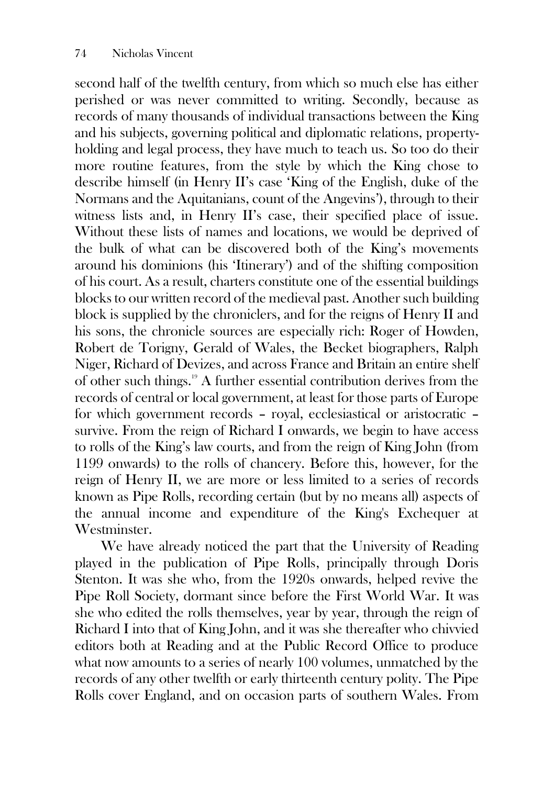second half of the twelfth century, from which so much else has either perished or was never committed to writing. Secondly, because as records of many thousands of individual transactions between the King and his subjects, governing political and diplomatic relations, propertyholding and legal process, they have much to teach us. So too do their more routine features, from the style by which the King chose to describe himself (in Henry II's case 'King of the English, duke of the Normans and the Aquitanians, count of the Angevins'), through to their witness lists and, in Henry II's case, their specified place of issue. Without these lists of names and locations, we would be deprived of the bulk of what can be discovered both of the King's movements around his dominions (his 'Itinerary') and of the shifting composition of his court. As a result, charters constitute one of the essential buildings blocks to our written record of the medieval past. Another such building block is supplied by the chroniclers, and for the reigns of Henry II and his sons, the chronicle sources are especially rich: Roger of Howden, Robert de Torigny, Gerald of Wales, the Becket biographers, Ralph Niger, Richard of Devizes, and across France and Britain an entire shelf of other such things.<sup>19</sup> A further essential contribution derives from the records of central or local government, at least for those parts of Europe for which government records – royal, ecclesiastical or aristocratic – survive. From the reign of Richard I onwards, we begin to have access to rolls of the King's law courts, and from the reign of King John (from 1199 onwards) to the rolls of chancery. Before this, however, for the reign of Henry II, we are more or less limited to a series of records known as Pipe Rolls, recording certain (but by no means all) aspects of the annual income and expenditure of the King's Exchequer at Westminster.

We have already noticed the part that the University of Reading played in the publication of Pipe Rolls, principally through Doris Stenton. It was she who, from the 1920s onwards, helped revive the Pipe Roll Society, dormant since before the First World War. It was she who edited the rolls themselves, year by year, through the reign of Richard I into that of King John, and it was she thereafter who chivvied editors both at Reading and at the Public Record Office to produce what now amounts to a series of nearly 100 volumes, unmatched by the records of any other twelfth or early thirteenth century polity. The Pipe Rolls cover England, and on occasion parts of southern Wales. From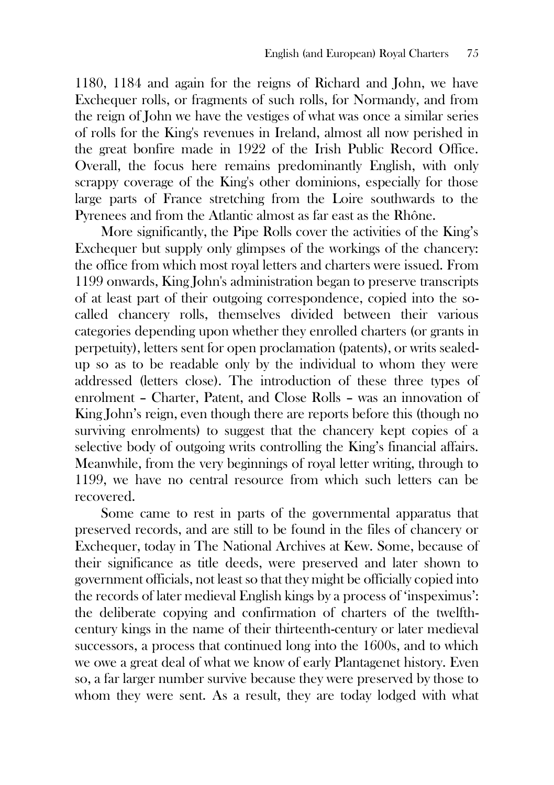1180, 1184 and again for the reigns of Richard and John, we have Exchequer rolls, or fragments of such rolls, for Normandy, and from the reign of John we have the vestiges of what was once a similar series of rolls for the King's revenues in Ireland, almost all now perished in the great bonfire made in 1922 of the Irish Public Record Office. Overall, the focus here remains predominantly English, with only scrappy coverage of the King's other dominions, especially for those large parts of France stretching from the Loire southwards to the Pyrenees and from the Atlantic almost as far east as the Rhône.

More significantly, the Pipe Rolls cover the activities of the King's Exchequer but supply only glimpses of the workings of the chancery: the office from which most royal letters and charters were issued. From 1199 onwards, King John's administration began to preserve transcripts of at least part of their outgoing correspondence, copied into the socalled chancery rolls, themselves divided between their various categories depending upon whether they enrolled charters (or grants in perpetuity), letters sent for open proclamation (patents), or writs sealedup so as to be readable only by the individual to whom they were addressed (letters close). The introduction of these three types of enrolment – Charter, Patent, and Close Rolls – was an innovation of King John's reign, even though there are reports before this (though no surviving enrolments) to suggest that the chancery kept copies of a selective body of outgoing writs controlling the King's financial affairs. Meanwhile, from the very beginnings of royal letter writing, through to 1199, we have no central resource from which such letters can be recovered.

Some came to rest in parts of the governmental apparatus that preserved records, and are still to be found in the files of chancery or Exchequer, today in The National Archives at Kew. Some, because of their significance as title deeds, were preserved and later shown to government officials, not least so that they might be officially copied into the records of later medieval English kings by a process of 'inspeximus': the deliberate copying and confirmation of charters of the twelfthcentury kings in the name of their thirteenth-century or later medieval successors, a process that continued long into the 1600s, and to which we owe a great deal of what we know of early Plantagenet history. Even so, a far larger number survive because they were preserved by those to whom they were sent. As a result, they are today lodged with what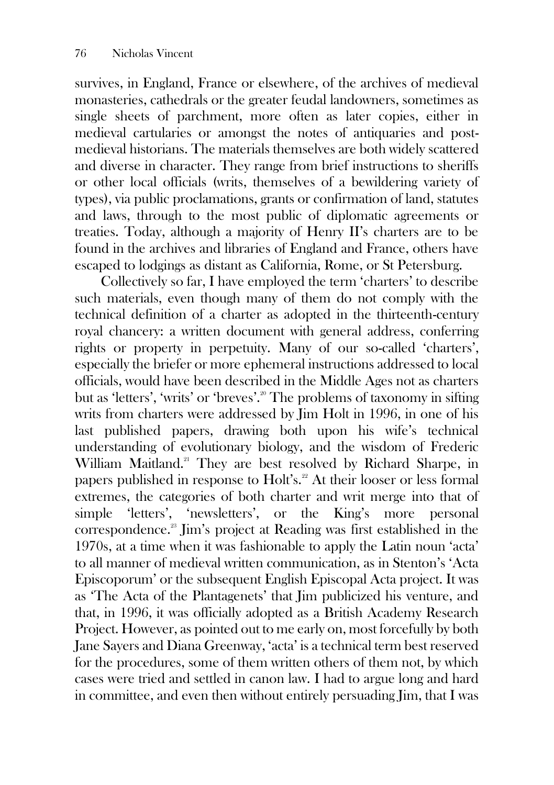survives, in England, France or elsewhere, of the archives of medieval monasteries, cathedrals or the greater feudal landowners, sometimes as single sheets of parchment, more often as later copies, either in medieval cartularies or amongst the notes of antiquaries and postmedieval historians. The materials themselves are both widely scattered and diverse in character. They range from brief instructions to sheriffs or other local officials (writs, themselves of a bewildering variety of types), via public proclamations, grants or confirmation of land, statutes and laws, through to the most public of diplomatic agreements or treaties. Today, although a majority of Henry II's charters are to be found in the archives and libraries of England and France, others have escaped to lodgings as distant as California, Rome, or St Petersburg.

Collectively so far, I have employed the term 'charters' to describe such materials, even though many of them do not comply with the technical definition of a charter as adopted in the thirteenth-century royal chancery: a written document with general address, conferring rights or property in perpetuity. Many of our so-called 'charters', especially the briefer or more ephemeral instructions addressed to local officials, would have been described in the Middle Ages not as charters but as 'letters', 'writs' or 'breves'.<sup>20</sup> The problems of taxonomy in sifting writs from charters were addressed by Jim Holt in 1996, in one of his last published papers, drawing both upon his wife's technical understanding of evolutionary biology, and the wisdom of Frederic William Maitland.<sup>21</sup> They are best resolved by Richard Sharpe, in papers published in response to Holt's.<sup>22</sup> At their looser or less formal extremes, the categories of both charter and writ merge into that of simple 'letters', 'newsletters', or the King's more personal correspondence.<sup>23</sup> Jim's project at Reading was first established in the 1970s, at a time when it was fashionable to apply the Latin noun 'acta' to all manner of medieval written communication, as in Stenton's 'Acta Episcoporum' or the subsequent English Episcopal Acta project. It was as 'The Acta of the Plantagenets' that Jim publicized his venture, and that, in 1996, it was officially adopted as a British Academy Research Project. However, as pointed out to me early on, most forcefully by both Jane Sayers and Diana Greenway, 'acta' is a technical term best reserved for the procedures, some of them written others of them not, by which cases were tried and settled in canon law. I had to argue long and hard in committee, and even then without entirely persuading Jim, that I was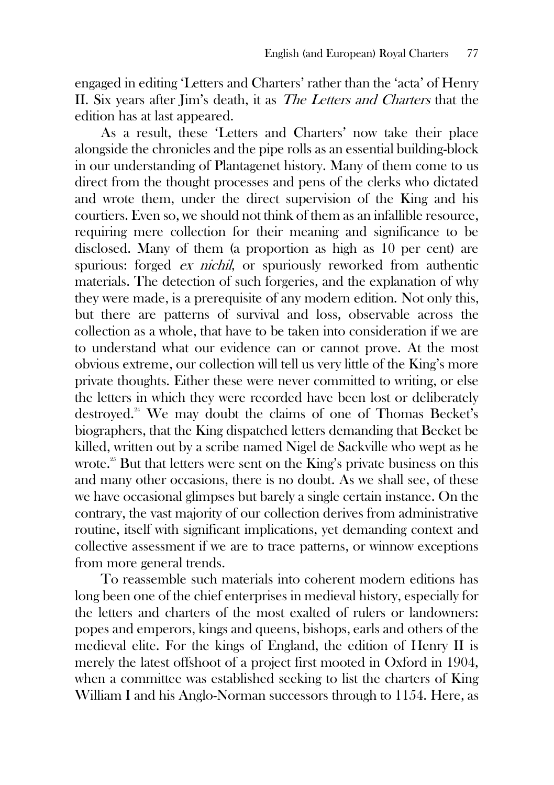engaged in editing 'Letters and Charters' rather than the 'acta' of Henry II. Six years after Jim's death, it as The Letters and Charters that the edition has at last appeared.

As a result, these 'Letters and Charters' now take their place alongside the chronicles and the pipe rolls as an essential building-block in our understanding of Plantagenet history. Many of them come to us direct from the thought processes and pens of the clerks who dictated and wrote them, under the direct supervision of the King and his courtiers. Even so, we should not think of them as an infallible resource, requiring mere collection for their meaning and significance to be disclosed. Many of them (a proportion as high as 10 per cent) are spurious: forged ex nichil, or spuriously reworked from authentic materials. The detection of such forgeries, and the explanation of why they were made, is a prerequisite of any modern edition. Not only this, but there are patterns of survival and loss, observable across the collection as a whole, that have to be taken into consideration if we are to understand what our evidence can or cannot prove. At the most obvious extreme, our collection will tell us very little of the King's more private thoughts. Either these were never committed to writing, or else the letters in which they were recorded have been lost or deliberately destroyed.<sup>24</sup> We may doubt the claims of one of Thomas Becket's biographers, that the King dispatched letters demanding that Becket be killed, written out by a scribe named Nigel de Sackville who wept as he wrote.<sup>25</sup> But that letters were sent on the King's private business on this and many other occasions, there is no doubt. As we shall see, of these we have occasional glimpses but barely a single certain instance. On the contrary, the vast majority of our collection derives from administrative routine, itself with significant implications, yet demanding context and collective assessment if we are to trace patterns, or winnow exceptions from more general trends.

To reassemble such materials into coherent modern editions has long been one of the chief enterprises in medieval history, especially for the letters and charters of the most exalted of rulers or landowners: popes and emperors, kings and queens, bishops, earls and others of the medieval elite. For the kings of England, the edition of Henry II is merely the latest offshoot of a project first mooted in Oxford in 1904, when a committee was established seeking to list the charters of King William I and his Anglo-Norman successors through to 1154. Here, as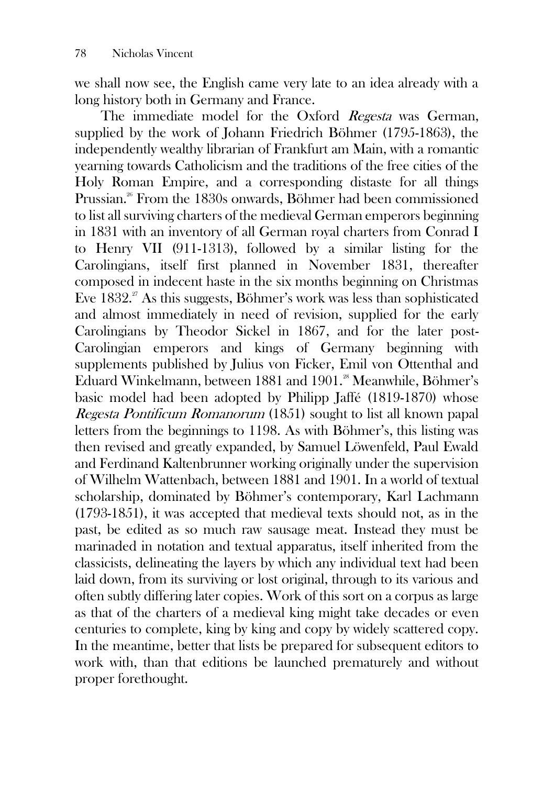we shall now see, the English came very late to an idea already with a long history both in Germany and France.

The immediate model for the Oxford Regesta was German, supplied by the work of Johann Friedrich Böhmer (1795-1863), the independently wealthy librarian of Frankfurt am Main, with a romantic yearning towards Catholicism and the traditions of the free cities of the Holy Roman Empire, and a corresponding distaste for all things Prussian.<sup>26</sup> From the 1830s onwards, Böhmer had been commissioned to list all surviving charters of the medieval German emperors beginning in 1831 with an inventory of all German royal charters from Conrad I to Henry VII (911-1313), followed by a similar listing for the Carolingians, itself first planned in November 1831, thereafter composed in indecent haste in the six months beginning on Christmas Eve  $1832.^{27}$  As this suggests, Böhmer's work was less than sophisticated and almost immediately in need of revision, supplied for the early Carolingians by Theodor Sickel in 1867, and for the later post-Carolingian emperors and kings of Germany beginning with supplements published by Julius von Ficker, Emil von Ottenthal and Eduard Winkelmann, between 1881 and 1901.<sup>28</sup> Meanwhile, Böhmer's basic model had been adopted by Philipp Jaffé (1819-1870) whose Regesta Pontificum Romanorum (1851) sought to list all known papal letters from the beginnings to 1198. As with Böhmer's, this listing was then revised and greatly expanded, by Samuel Löwenfeld, Paul Ewald and Ferdinand Kaltenbrunner working originally under the supervision of Wilhelm Wattenbach, between 1881 and 1901. In a world of textual scholarship, dominated by Böhmer's contemporary, Karl Lachmann (1793-1851), it was accepted that medieval texts should not, as in the past, be edited as so much raw sausage meat. Instead they must be marinaded in notation and textual apparatus, itself inherited from the classicists, delineating the layers by which any individual text had been laid down, from its surviving or lost original, through to its various and often subtly differing later copies. Work of this sort on a corpus as large as that of the charters of a medieval king might take decades or even centuries to complete, king by king and copy by widely scattered copy. In the meantime, better that lists be prepared for subsequent editors to work with, than that editions be launched prematurely and without proper forethought.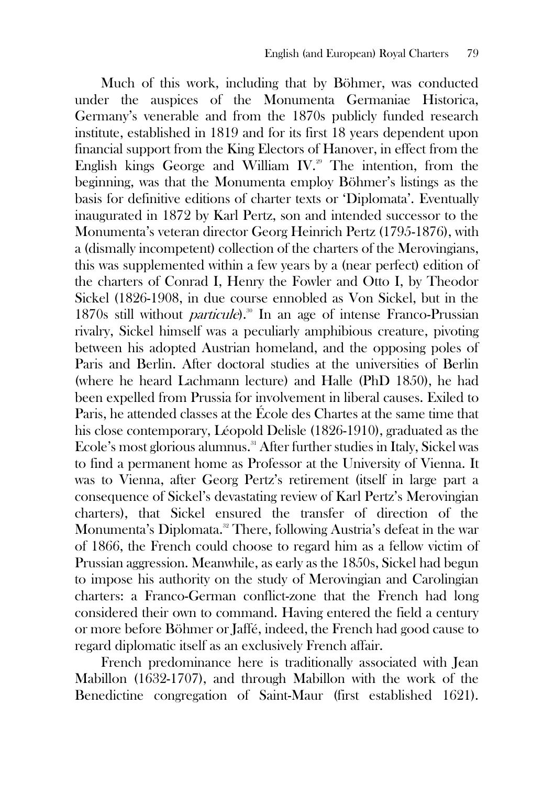Much of this work, including that by Böhmer, was conducted under the auspices of the Monumenta Germaniae Historica, Germany's venerable and from the 1870s publicly funded research institute, established in 1819 and for its first 18 years dependent upon financial support from the King Electors of Hanover, in effect from the English kings George and William IV.<sup>29</sup> The intention, from the beginning, was that the Monumenta employ Böhmer's listings as the basis for definitive editions of charter texts or 'Diplomata'. Eventually inaugurated in 1872 by Karl Pertz, son and intended successor to the Monumenta's veteran director Georg Heinrich Pertz (1795-1876), with a (dismally incompetent) collection of the charters of the Merovingians, this was supplemented within a few years by a (near perfect) edition of the charters of Conrad I, Henry the Fowler and Otto I, by Theodor Sickel (1826-1908, in due course ennobled as Von Sickel, but in the 1870s still without *particule*).<sup>30</sup> In an age of intense Franco-Prussian rivalry, Sickel himself was a peculiarly amphibious creature, pivoting between his adopted Austrian homeland, and the opposing poles of Paris and Berlin. After doctoral studies at the universities of Berlin (where he heard Lachmann lecture) and Halle (PhD 1850), he had been expelled from Prussia for involvement in liberal causes. Exiled to Paris, he attended classes at the École des Chartes at the same time that his close contemporary, Léopold Delisle (1826-1910), graduated as the Ecole's most glorious alumnus.<sup>31</sup> After further studies in Italy, Sickel was to find a permanent home as Professor at the University of Vienna. It was to Vienna, after Georg Pertz's retirement (itself in large part a consequence of Sickel's devastating review of Karl Pertz's Merovingian charters), that Sickel ensured the transfer of direction of the Monumenta's Diplomata.<sup>32</sup> There, following Austria's defeat in the war of 1866, the French could choose to regard him as a fellow victim of Prussian aggression. Meanwhile, as early as the 1850s, Sickel had begun to impose his authority on the study of Merovingian and Carolingian charters: a Franco-German conflict-zone that the French had long considered their own to command. Having entered the field a century or more before Böhmer or Jaffé, indeed, the French had good cause to regard diplomatic itself as an exclusively French affair.

French predominance here is traditionally associated with Jean Mabillon (1632-1707), and through Mabillon with the work of the Benedictine congregation of Saint-Maur (first established 1621).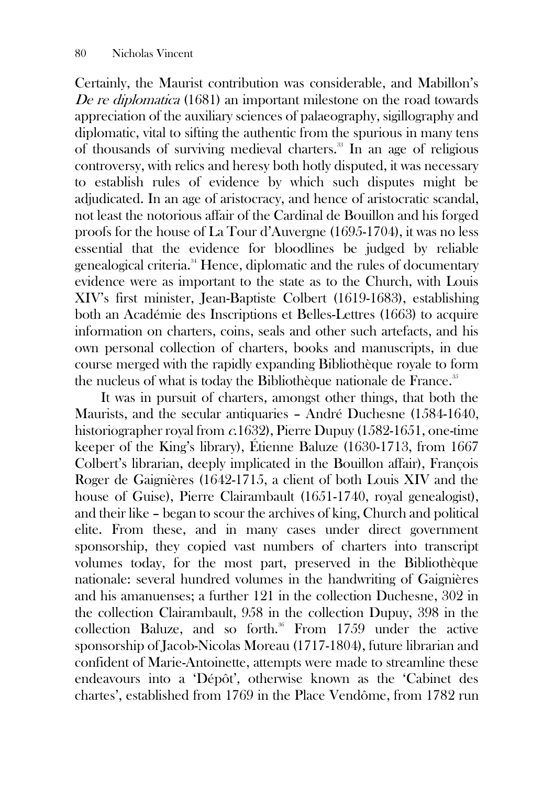Certainly, the Maurist contribution was considerable, and Mabillon's De re diplomatica (1681) an important milestone on the road towards appreciation of the auxiliary sciences of palaeography, sigillography and diplomatic, vital to sifting the authentic from the spurious in many tens of thousands of surviving medieval charters.<sup>33</sup> In an age of religious controversy, with relics and heresy both hotly disputed, it was necessary to establish rules of evidence by which such disputes might be adjudicated. In an age of aristocracy, and hence of aristocratic scandal, not least the notorious affair of the Cardinal de Bouillon and his forged proofs for the house of La Tour d'Auvergne (1695-1704), it was no less essential that the evidence for bloodlines be judged by reliable genealogical criteria.<sup>34</sup> Hence, diplomatic and the rules of documentary evidence were as important to the state as to the Church, with Louis XIV's first minister, Jean-Baptiste Colbert (1619-1683), establishing both an Académie des Inscriptions et Belles-Lettres (1663) to acquire information on charters, coins, seals and other such artefacts, and his own personal collection of charters, books and manuscripts, in due course merged with the rapidly expanding Bibliothèque royale to form the nucleus of what is today the Bibliothèque nationale de France.<sup>35</sup>

It was in pursuit of charters, amongst other things, that both the Maurists, and the secular antiquaries – André Duchesne (1584-1640, historiographer royal from c.1632), Pierre Dupuy (1582-1651, one-time keeper of the King's library), Étienne Baluze (1630-1713, from 1667 Colbert's librarian, deeply implicated in the Bouillon affair), François Roger de Gaignières (1642-1715, a client of both Louis XIV and the house of Guise), Pierre Clairambault (1651-1740, royal genealogist), and their like – began to scour the archives of king, Church and political elite. From these, and in many cases under direct government sponsorship, they copied vast numbers of charters into transcript volumes today, for the most part, preserved in the Bibliothèque nationale: several hundred volumes in the handwriting of Gaignières and his amanuenses; a further 121 in the collection Duchesne, 302 in the collection Clairambault, 958 in the collection Dupuy, 398 in the collection Baluze, and so forth.<sup>36</sup> From 1759 under the active sponsorship of Jacob-Nicolas Moreau (1717-1804), future librarian and confident of Marie-Antoinette, attempts were made to streamline these endeavours into a 'Dépôt', otherwise known as the 'Cabinet des chartes', established from 1769 in the Place Vendôme, from 1782 run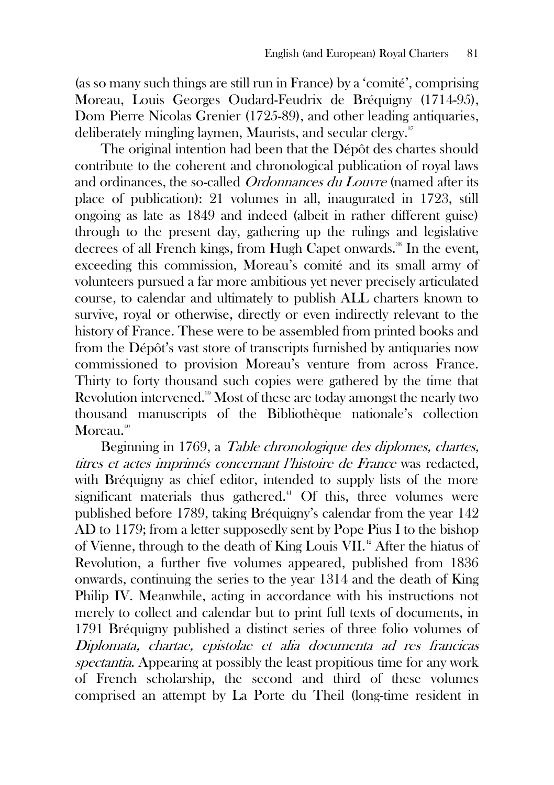(as so many such things are still run in France) by a 'comité', comprising Moreau, Louis Georges Oudard-Feudrix de Bréquigny (1714-95), Dom Pierre Nicolas Grenier (1725-89), and other leading antiquaries, deliberately mingling laymen, Maurists, and secular clergy.<sup>37</sup>

The original intention had been that the Dépôt des chartes should contribute to the coherent and chronological publication of royal laws and ordinances, the so-called *Ordonnances du Louvre* (named after its place of publication): 21 volumes in all, inaugurated in 1723, still ongoing as late as 1849 and indeed (albeit in rather different guise) through to the present day, gathering up the rulings and legislative decrees of all French kings, from Hugh Capet onwards.<sup>38</sup> In the event. exceeding this commission, Moreau's comité and its small army of volunteers pursued a far more ambitious yet never precisely articulated course, to calendar and ultimately to publish ALL charters known to survive, royal or otherwise, directly or even indirectly relevant to the history of France. These were to be assembled from printed books and from the Dépôt's vast store of transcripts furnished by antiquaries now commissioned to provision Moreau's venture from across France. Thirty to forty thousand such copies were gathered by the time that Revolution intervened.<sup>39</sup> Most of these are today amongst the nearly two thousand manuscripts of the Bibliothèque nationale's collection Moreau.<sup>40</sup>

Beginning in 1769, a Table chronologique des diplomes, chartes, titres et actes imprimés concernant l'histoire de France was redacted, with Bréquigny as chief editor, intended to supply lists of the more significant materials thus gathered. $4^{\circ}$  Of this, three volumes were published before 1789, taking Bréquigny's calendar from the year 142 AD to 1179; from a letter supposedly sent by Pope Pius I to the bishop of Vienne, through to the death of King Louis VII.<sup>42</sup> After the hiatus of Revolution, a further five volumes appeared, published from 1836 onwards, continuing the series to the year 1314 and the death of King Philip IV. Meanwhile, acting in accordance with his instructions not merely to collect and calendar but to print full texts of documents, in 1791 Bréquigny published a distinct series of three folio volumes of Diplomata, chartae, epistolae et alia documenta ad res francicas spectantia. Appearing at possibly the least propitious time for any work of French scholarship, the second and third of these volumes comprised an attempt by La Porte du Theil (long-time resident in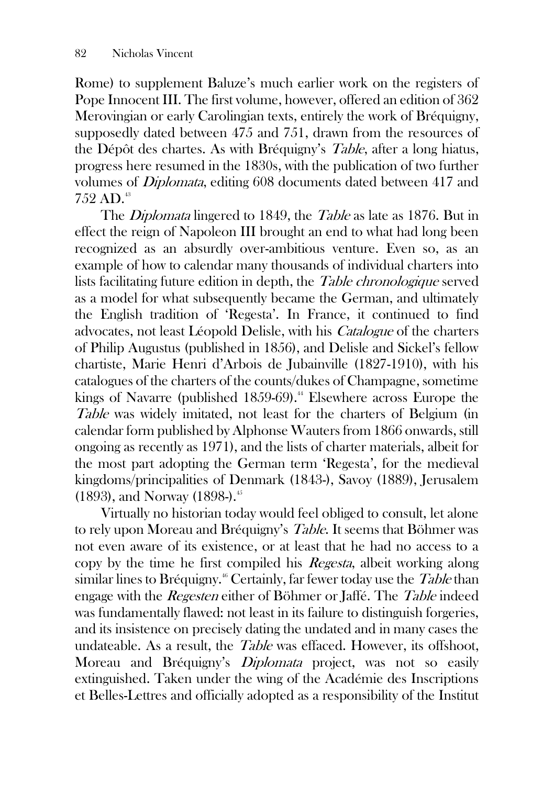Rome) to supplement Baluze's much earlier work on the registers of Pope Innocent III. The first volume, however, offered an edition of 362 Merovingian or early Carolingian texts, entirely the work of Bréquigny, supposedly dated between 475 and 751, drawn from the resources of the Dépôt des chartes. As with Bréquigny's Table, after a long hiatus, progress here resumed in the 1830s, with the publication of two further volumes of Diplomata, editing 608 documents dated between 417 and 752 AD. 43

The *Diplomata* lingered to 1849, the *Table* as late as 1876. But in effect the reign of Napoleon III brought an end to what had long been recognized as an absurdly over-ambitious venture. Even so, as an example of how to calendar many thousands of individual charters into lists facilitating future edition in depth, the *Table chronologique* served as a model for what subsequently became the German, and ultimately the English tradition of 'Regesta'. In France, it continued to find advocates, not least Léopold Delisle, with his Catalogue of the charters of Philip Augustus (published in 1856), and Delisle and Sickel's fellow chartiste, Marie Henri d'Arbois de Jubainville (1827-1910), with his catalogues of the charters of the counts/dukes of Champagne, sometime kings of Navarre (published  $1859-69$ ).<sup>44</sup> Elsewhere across Europe the Table was widely imitated, not least for the charters of Belgium (in calendar form published by Alphonse Wauters from 1866 onwards, still ongoing as recently as 1971), and the lists of charter materials, albeit for the most part adopting the German term 'Regesta', for the medieval kingdoms/principalities of Denmark (1843-), Savoy (1889), Jerusalem (1893), and Norway (1898-).<sup>45</sup>

Virtually no historian today would feel obliged to consult, let alone to rely upon Moreau and Bréquigny's Table. It seems that Böhmer was not even aware of its existence, or at least that he had no access to a copy by the time he first compiled his Regesta, albeit working along similar lines to Bréquigny.<sup>46</sup> Certainly, far fewer today use the *Table* than engage with the Regesten either of Böhmer or Jaffé. The Table indeed was fundamentally flawed: not least in its failure to distinguish forgeries, and its insistence on precisely dating the undated and in many cases the undateable. As a result, the Table was effaced. However, its offshoot, Moreau and Bréquigny's Diplomata project, was not so easily extinguished. Taken under the wing of the Académie des Inscriptions et Belles-Lettres and officially adopted as a responsibility of the Institut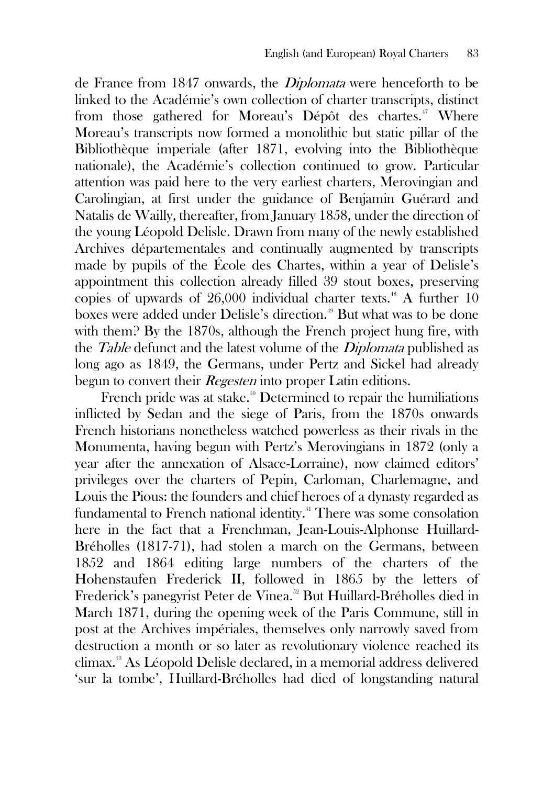de France from 1847 onwards, the Diplomata were henceforth to be linked to the Académie's own collection of charter transcripts, distinct from those gathered for Moreau's Dépôt des chartes.<sup>47</sup> Where Moreau's transcripts now formed a monolithic but static pillar of the Bibliothèque imperiale (after 1871, evolving into the Bibliothèque nationale), the Académie's collection continued to grow. Particular attention was paid here to the very earliest charters, Merovingian and Carolingian, at first under the guidance of Benjamin Guérard and Natalis de Wailly, thereafter, from January 1858, under the direction of the young Léopold Delisle. Drawn from many of the newly established Archives départementales and continually augmented by transcripts made by pupils of the École des Chartes, within a year of Delisle's appointment this collection already filled 39 stout boxes, preserving copies of upwards of 26,000 individual charter texts.<sup>48</sup> A further  $10$ boxes were added under Delisle's direction.<sup>49</sup> But what was to be done with them? By the 1870s, although the French project hung fire, with the *Table* defunct and the latest volume of the *Diplomata* published as long ago as 1849, the Germans, under Pertz and Sickel had already begun to convert their *Regesten* into proper Latin editions.

French pride was at stake.<sup>50</sup> Determined to repair the humiliations inflicted by Sedan and the siege of Paris, from the 1870s onwards French historians nonetheless watched powerless as their rivals in the Monumenta, having begun with Pertz's Merovingians in 1872 (only a year after the annexation of Alsace-Lorraine), now claimed editors' privileges over the charters of Pepin, Carloman, Charlemagne, and Louis the Pious: the founders and chief heroes of a dynasty regarded as fundamental to French national identity.<sup>51</sup> There was some consolation here in the fact that a Frenchman, Jean-Louis-Alphonse Huillard-Bréholles (1817-71), had stolen a march on the Germans, between 1852 and 1864 editing large numbers of the charters of the Hohenstaufen Frederick II, followed in 1865 by the letters of Frederick's panegyrist Peter de Vinea.<sup>52</sup> But Huillard-Bréholles died in March 1871, during the opening week of the Paris Commune, still in post at the Archives impériales, themselves only narrowly saved from destruction a month or so later as revolutionary violence reached its climax.<sup>53</sup> As Léopold Delisle declared, in a memorial address delivered 'sur la tombe', Huillard-Bréholles had died of longstanding natural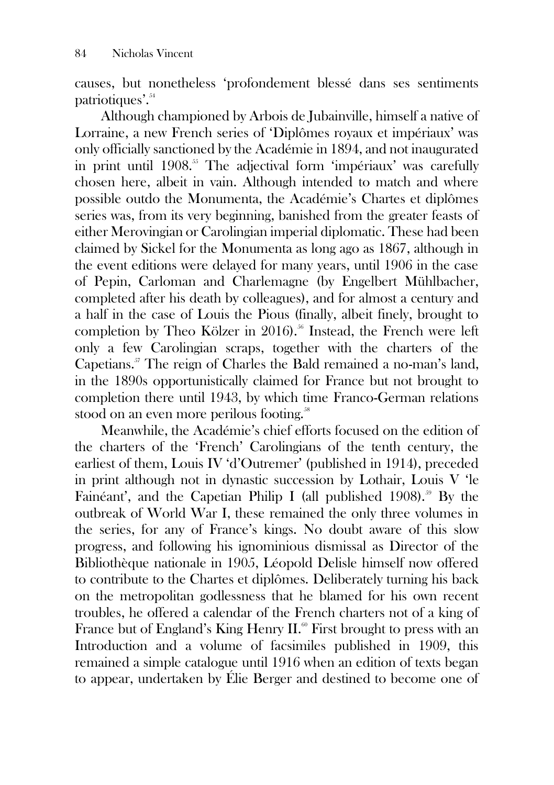causes, but nonetheless 'profondement blessé dans ses sentiments patriotiques'.<sup>54</sup>

Although championed by Arbois de Jubainville, himself a native of Lorraine, a new French series of 'Diplômes royaux et impériaux' was only officially sanctioned by the Académie in 1894, and not inaugurated in print until 1908.<sup>55</sup> The adjectival form 'impériaux' was carefully chosen here, albeit in vain. Although intended to match and where possible outdo the Monumenta, the Académie's Chartes et diplômes series was, from its very beginning, banished from the greater feasts of either Merovingian or Carolingian imperial diplomatic. These had been claimed by Sickel for the Monumenta as long ago as 1867, although in the event editions were delayed for many years, until 1906 in the case of Pepin, Carloman and Charlemagne (by Engelbert Mühlbacher, completed after his death by colleagues), and for almost a century and a half in the case of Louis the Pious (finally, albeit finely, brought to completion by Theo Kölzer in 2016).<sup>56</sup> Instead, the French were left only a few Carolingian scraps, together with the charters of the Capetians.<sup>57</sup> The reign of Charles the Bald remained a no-man's land, in the 1890s opportunistically claimed for France but not brought to completion there until 1943, by which time Franco-German relations stood on an even more perilous footing.<sup>58</sup>

Meanwhile, the Académie's chief efforts focused on the edition of the charters of the 'French' Carolingians of the tenth century, the earliest of them, Louis IV 'd'Outremer' (published in 1914), preceded in print although not in dynastic succession by Lothair, Louis V 'le Fainéant', and the Capetian Philip I (all published 1908).<sup>59</sup> By the outbreak of World War I, these remained the only three volumes in the series, for any of France's kings. No doubt aware of this slow progress, and following his ignominious dismissal as Director of the Bibliothèque nationale in 1905, Léopold Delisle himself now offered to contribute to the Chartes et diplômes. Deliberately turning his back on the metropolitan godlessness that he blamed for his own recent troubles, he offered a calendar of the French charters not of a king of France but of England's King Henry II.<sup>60</sup> First brought to press with an Introduction and a volume of facsimiles published in 1909, this remained a simple catalogue until 1916 when an edition of texts began to appear, undertaken by Élie Berger and destined to become one of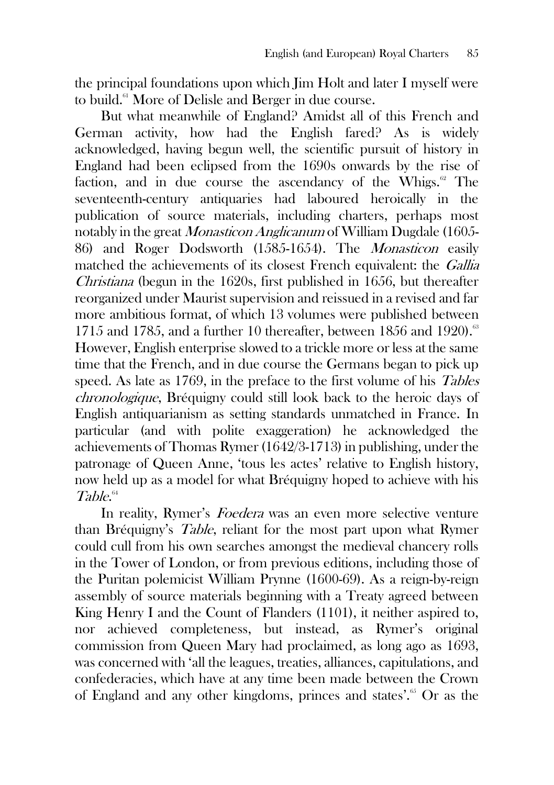the principal foundations upon which Jim Holt and later I myself were to build.<sup>61</sup> More of Delisle and Berger in due course.

But what meanwhile of England? Amidst all of this French and German activity, how had the English fared? As is widely acknowledged, having begun well, the scientific pursuit of history in England had been eclipsed from the 1690s onwards by the rise of faction, and in due course the ascendancy of the Whigs. $\mathscr{C}$  The seventeenth-century antiquaries had laboured heroically in the publication of source materials, including charters, perhaps most notably in the great Monasticon Anglicanum of William Dugdale (1605- 86) and Roger Dodsworth (1585-1654). The Monasticon easily matched the achievements of its closest French equivalent: the *Gallia* Christiana (begun in the 1620s, first published in 1656, but thereafter reorganized under Maurist supervision and reissued in a revised and far more ambitious format, of which 13 volumes were published between 1715 and 1785, and a further 10 thereafter, between 1856 and 1920).<sup>63</sup> However, English enterprise slowed to a trickle more or less at the same time that the French, and in due course the Germans began to pick up speed. As late as 1769, in the preface to the first volume of his Tables chronologique, Bréquigny could still look back to the heroic days of English antiquarianism as setting standards unmatched in France. In particular (and with polite exaggeration) he acknowledged the achievements of Thomas Rymer (1642/3-1713) in publishing, under the patronage of Queen Anne, 'tous les actes' relative to English history, now held up as a model for what Bréquigny hoped to achieve with his Table. 64

In reality, Rymer's Foedera was an even more selective venture than Bréquigny's Table, reliant for the most part upon what Rymer could cull from his own searches amongst the medieval chancery rolls in the Tower of London, or from previous editions, including those of the Puritan polemicist William Prynne (1600-69). As a reign-by-reign assembly of source materials beginning with a Treaty agreed between King Henry I and the Count of Flanders (1101), it neither aspired to, nor achieved completeness, but instead, as Rymer's original commission from Queen Mary had proclaimed, as long ago as 1693, was concerned with 'all the leagues, treaties, alliances, capitulations, and confederacies, which have at any time been made between the Crown of England and any other kingdoms, princes and states'.<sup>65</sup> Or as the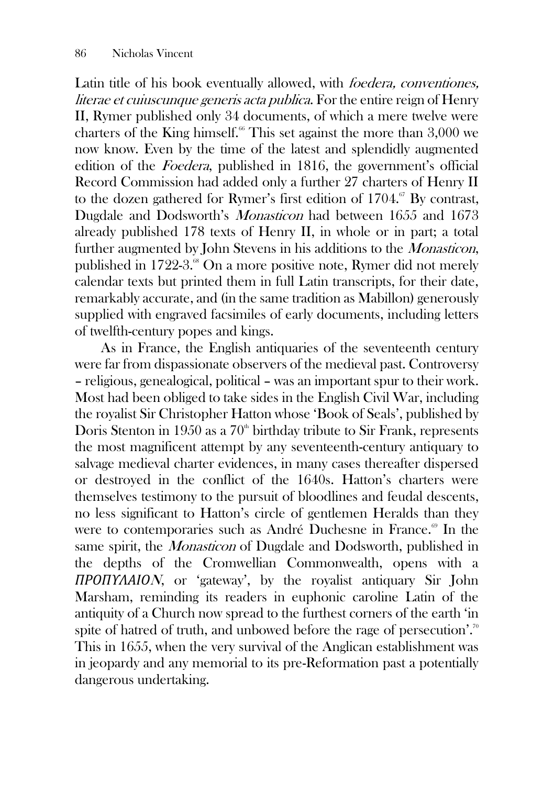Latin title of his book eventually allowed, with *foedera, conventiones*. literae et cuiuscunque generis acta publica. For the entire reign of Henry II, Rymer published only 34 documents, of which a mere twelve were charters of the King himself.<sup> $66$ </sup> This set against the more than 3,000 we now know. Even by the time of the latest and splendidly augmented edition of the Foedera, published in 1816, the government's official Record Commission had added only a further 27 charters of Henry II to the dozen gathered for Rymer's first edition of  $1704$ .<sup>67</sup> By contrast, Dugdale and Dodsworth's Monasticon had between 1655 and 1673 already published 178 texts of Henry II, in whole or in part; a total further augmented by John Stevens in his additions to the Monasticon, published in 1722-3.<sup>88</sup> On a more positive note, Rymer did not merely calendar texts but printed them in full Latin transcripts, for their date, remarkably accurate, and (in the same tradition as Mabillon) generously supplied with engraved facsimiles of early documents, including letters of twelfth-century popes and kings.

As in France, the English antiquaries of the seventeenth century were far from dispassionate observers of the medieval past. Controversy – religious, genealogical, political – was an important spur to their work. Most had been obliged to take sides in the English Civil War, including the royalist Sir Christopher Hatton whose 'Book of Seals', published by Doris Stenton in 1950 as a  $70^{\circ}$  birthday tribute to Sir Frank, represents the most magnificent attempt by any seventeenth-century antiquary to salvage medieval charter evidences, in many cases thereafter dispersed or destroyed in the conflict of the 1640s. Hatton's charters were themselves testimony to the pursuit of bloodlines and feudal descents, no less significant to Hatton's circle of gentlemen Heralds than they were to contemporaries such as André Duchesne in France.<sup>69</sup> In the same spirit, the Monasticon of Dugdale and Dodsworth, published in the depths of the Cromwellian Commonwealth, opens with a *ΠΡΟΠΥΛΑΙΟ*N, or 'gateway', by the royalist antiquary Sir John Marsham, reminding its readers in euphonic caroline Latin of the antiquity of a Church now spread to the furthest corners of the earth 'in spite of hatred of truth, and unbowed before the rage of persecution'.<sup>70</sup> This in 1655, when the very survival of the Anglican establishment was in jeopardy and any memorial to its pre-Reformation past a potentially dangerous undertaking.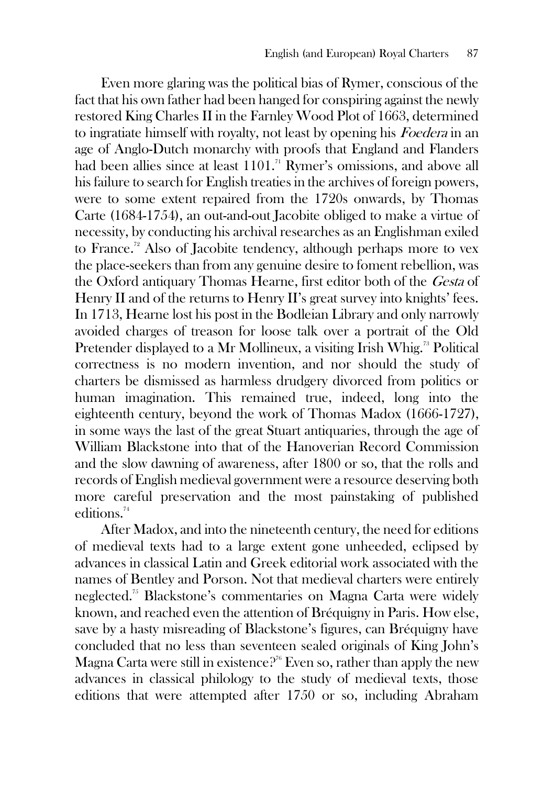Even more glaring was the political bias of Rymer, conscious of the fact that his own father had been hanged for conspiring against the newly restored King Charles II in the Farnley Wood Plot of 1663, determined to ingratiate himself with royalty, not least by opening his Foedera in an age of Anglo-Dutch monarchy with proofs that England and Flanders had been allies since at least 1101.<sup>71</sup> Rymer's omissions, and above all his failure to search for English treaties in the archives of foreign powers, were to some extent repaired from the 1720s onwards, by Thomas Carte (1684-1754), an out-and-out Jacobite obliged to make a virtue of necessity, by conducting his archival researches as an Englishman exiled to France.<sup>72</sup> Also of Jacobite tendency, although perhaps more to vex the place-seekers than from any genuine desire to foment rebellion, was the Oxford antiquary Thomas Hearne, first editor both of the Gesta of Henry II and of the returns to Henry II's great survey into knights' fees. In 1713, Hearne lost his post in the Bodleian Library and only narrowly avoided charges of treason for loose talk over a portrait of the Old Pretender displayed to a Mr Mollineux, a visiting Irish Whig.<sup>73</sup> Political correctness is no modern invention, and nor should the study of charters be dismissed as harmless drudgery divorced from politics or human imagination. This remained true, indeed, long into the eighteenth century, beyond the work of Thomas Madox (1666-1727), in some ways the last of the great Stuart antiquaries, through the age of William Blackstone into that of the Hanoverian Record Commission and the slow dawning of awareness, after 1800 or so, that the rolls and records of English medieval government were a resource deserving both more careful preservation and the most painstaking of published editions.<sup>74</sup>

After Madox, and into the nineteenth century, the need for editions of medieval texts had to a large extent gone unheeded, eclipsed by advances in classical Latin and Greek editorial work associated with the names of Bentley and Porson. Not that medieval charters were entirely neglected.<sup>75</sup> Blackstone's commentaries on Magna Carta were widely known, and reached even the attention of Bréquigny in Paris. How else, save by a hasty misreading of Blackstone's figures, can Bréquigny have concluded that no less than seventeen sealed originals of King John's Magna Carta were still in existence?<sup> $76$ </sup> Even so, rather than apply the new advances in classical philology to the study of medieval texts, those editions that were attempted after 1750 or so, including Abraham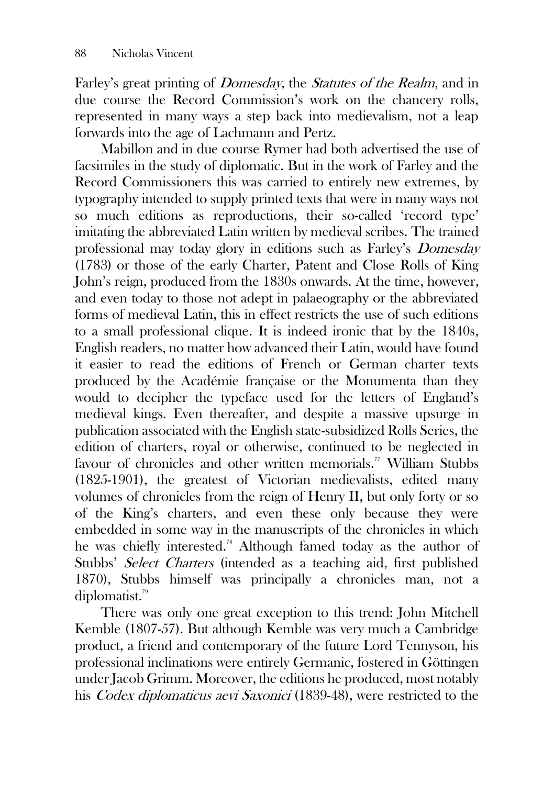Farley's great printing of Domesday, the Statutes of the Realm, and in due course the Record Commission's work on the chancery rolls, represented in many ways a step back into medievalism, not a leap forwards into the age of Lachmann and Pertz.

Mabillon and in due course Rymer had both advertised the use of facsimiles in the study of diplomatic. But in the work of Farley and the Record Commissioners this was carried to entirely new extremes, by typography intended to supply printed texts that were in many ways not so much editions as reproductions, their so-called 'record type' imitating the abbreviated Latin written by medieval scribes. The trained professional may today glory in editions such as Farley's Domesday (1783) or those of the early Charter, Patent and Close Rolls of King John's reign, produced from the 1830s onwards. At the time, however, and even today to those not adept in palaeography or the abbreviated forms of medieval Latin, this in effect restricts the use of such editions to a small professional clique. It is indeed ironic that by the 1840s, English readers, no matter how advanced their Latin, would have found it easier to read the editions of French or German charter texts produced by the Académie française or the Monumenta than they would to decipher the typeface used for the letters of England's medieval kings. Even thereafter, and despite a massive upsurge in publication associated with the English state-subsidized Rolls Series, the edition of charters, royal or otherwise, continued to be neglected in favour of chronicles and other written memorials.<sup>77</sup> William Stubbs (1825-1901), the greatest of Victorian medievalists, edited many volumes of chronicles from the reign of Henry II, but only forty or so of the King's charters, and even these only because they were embedded in some way in the manuscripts of the chronicles in which he was chiefly interested.<sup>78</sup> Although famed today as the author of Stubbs' Select Charters (intended as a teaching aid, first published 1870), Stubbs himself was principally a chronicles man, not a diplomatist.<sup>79</sup>

There was only one great exception to this trend: John Mitchell Kemble (1807-57). But although Kemble was very much a Cambridge product, a friend and contemporary of the future Lord Tennyson, his professional inclinations were entirely Germanic, fostered in Göttingen under Jacob Grimm. Moreover, the editions he produced, most notably his *Codex diplomaticus aevi Saxonici* (1839-48), were restricted to the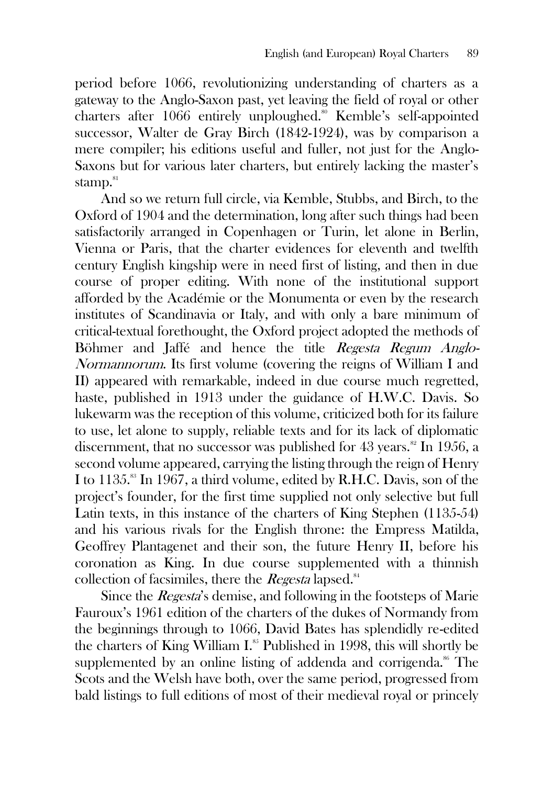period before 1066, revolutionizing understanding of charters as a gateway to the Anglo-Saxon past, yet leaving the field of royal or other charters after 1066 entirely unploughed.<sup>80</sup> Kemble's self-appointed successor, Walter de Gray Birch (1842-1924), was by comparison a mere compiler; his editions useful and fuller, not just for the Anglo-Saxons but for various later charters, but entirely lacking the master's stamp. ${}^{81}$ 

And so we return full circle, via Kemble, Stubbs, and Birch, to the Oxford of 1904 and the determination, long after such things had been satisfactorily arranged in Copenhagen or Turin, let alone in Berlin, Vienna or Paris, that the charter evidences for eleventh and twelfth century English kingship were in need first of listing, and then in due course of proper editing. With none of the institutional support afforded by the Académie or the Monumenta or even by the research institutes of Scandinavia or Italy, and with only a bare minimum of critical-textual forethought, the Oxford project adopted the methods of Böhmer and Jaffé and hence the title Regesta Regum Anglo-Normannorum. Its first volume (covering the reigns of William I and II) appeared with remarkable, indeed in due course much regretted, haste, published in 1913 under the guidance of H.W.C. Davis. So lukewarm was the reception of this volume, criticized both for its failure to use, let alone to supply, reliable texts and for its lack of diplomatic discernment, that no successor was published for  $43$  years.<sup>82</sup> In 1956, a second volume appeared, carrying the listing through the reign of Henry I to 1135.<sup>88</sup> In 1967, a third volume, edited by R.H.C. Davis, son of the project's founder, for the first time supplied not only selective but full Latin texts, in this instance of the charters of King Stephen (1135-54) and his various rivals for the English throne: the Empress Matilda, Geoffrey Plantagenet and their son, the future Henry II, before his coronation as King. In due course supplemented with a thinnish collection of facsimiles, there the *Regesta* lapsed.<sup>84</sup>

Since the *Regesta's* demise, and following in the footsteps of Marie Fauroux's 1961 edition of the charters of the dukes of Normandy from the beginnings through to 1066, David Bates has splendidly re-edited the charters of King William I.<sup>85</sup> Published in 1998, this will shortly be supplemented by an online listing of addenda and corrigenda. $^{86}$  The Scots and the Welsh have both, over the same period, progressed from bald listings to full editions of most of their medieval royal or princely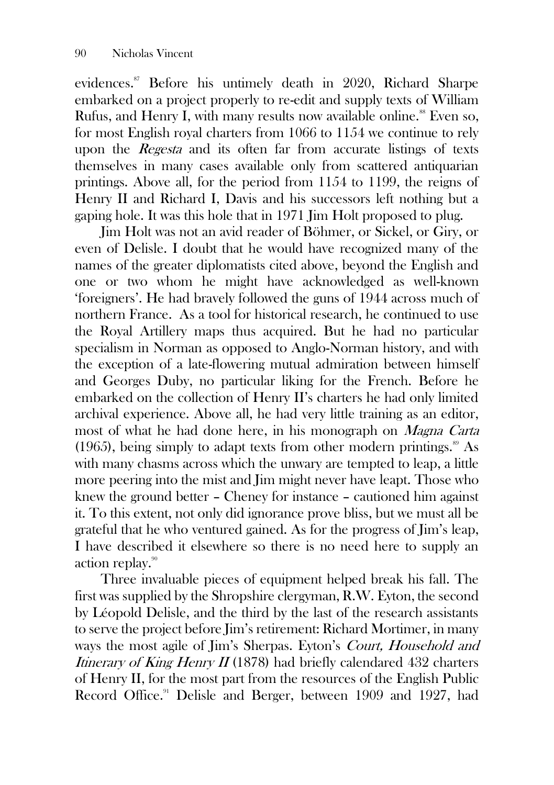evidences.<sup>87</sup> Before his untimely death in 2020, Richard Sharpe embarked on a project properly to re-edit and supply texts of William Rufus, and Henry I, with many results now available online.<sup>88</sup> Even so, for most English royal charters from 1066 to 1154 we continue to rely upon the *Regesta* and its often far from accurate listings of texts themselves in many cases available only from scattered antiquarian printings. Above all, for the period from 1154 to 1199, the reigns of Henry II and Richard I, Davis and his successors left nothing but a gaping hole. It was this hole that in 1971 Jim Holt proposed to plug.

Jim Holt was not an avid reader of Böhmer, or Sickel, or Giry, or even of Delisle. I doubt that he would have recognized many of the names of the greater diplomatists cited above, beyond the English and one or two whom he might have acknowledged as well-known 'foreigners'. He had bravely followed the guns of 1944 across much of northern France. As a tool for historical research, he continued to use the Royal Artillery maps thus acquired. But he had no particular specialism in Norman as opposed to Anglo-Norman history, and with the exception of a late-flowering mutual admiration between himself and Georges Duby, no particular liking for the French. Before he embarked on the collection of Henry II's charters he had only limited archival experience. Above all, he had very little training as an editor, most of what he had done here, in his monograph on Magna Carta (1965), being simply to adapt texts from other modern printings. $\frac{89}{15}$  As with many chasms across which the unwary are tempted to leap, a little more peering into the mist and Jim might never have leapt. Those who knew the ground better – Cheney for instance – cautioned him against it. To this extent, not only did ignorance prove bliss, but we must all be grateful that he who ventured gained. As for the progress of Jim's leap, I have described it elsewhere so there is no need here to supply an action replay.<sup>90</sup>

Three invaluable pieces of equipment helped break his fall. The first was supplied by the Shropshire clergyman, R.W. Eyton, the second by Léopold Delisle, and the third by the last of the research assistants to serve the project before Jim's retirement: Richard Mortimer, in many ways the most agile of Jim's Sherpas. Eyton's Court, Household and Itinerary of King Henry II (1878) had briefly calendared  $432$  charters of Henry II, for the most part from the resources of the English Public Record Office.<sup>91</sup> Delisle and Berger, between 1909 and 1927, had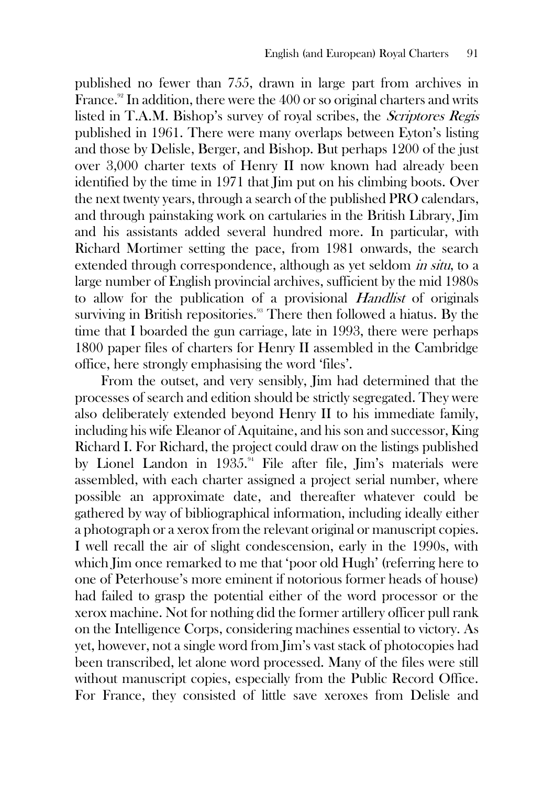published no fewer than 755, drawn in large part from archives in France.<sup>92</sup> In addition, there were the 400 or so original charters and writs listed in T.A.M. Bishop's survey of royal scribes, the Scriptores Regis published in 1961. There were many overlaps between Eyton's listing and those by Delisle, Berger, and Bishop. But perhaps 1200 of the just over 3,000 charter texts of Henry II now known had already been identified by the time in 1971 that Jim put on his climbing boots. Over the next twenty years, through a search of the published PRO calendars, and through painstaking work on cartularies in the British Library, Jim and his assistants added several hundred more. In particular, with Richard Mortimer setting the pace, from 1981 onwards, the search extended through correspondence, although as yet seldom *in situ*, to a large number of English provincial archives, sufficient by the mid 1980s to allow for the publication of a provisional Handlist of originals surviving in British repositories.<sup>33</sup> There then followed a hiatus. By the time that I boarded the gun carriage, late in 1993, there were perhaps 1800 paper files of charters for Henry II assembled in the Cambridge office, here strongly emphasising the word 'files'.

From the outset, and very sensibly, Jim had determined that the processes of search and edition should be strictly segregated. They were also deliberately extended beyond Henry II to his immediate family, including his wife Eleanor of Aquitaine, and his son and successor, King Richard I. For Richard, the project could draw on the listings published by Lionel Landon in 1935.<sup>94</sup> File after file, Jim's materials were assembled, with each charter assigned a project serial number, where possible an approximate date, and thereafter whatever could be gathered by way of bibliographical information, including ideally either a photograph or a xerox from the relevant original or manuscript copies. I well recall the air of slight condescension, early in the 1990s, with which Jim once remarked to me that 'poor old Hugh' (referring here to one of Peterhouse's more eminent if notorious former heads of house) had failed to grasp the potential either of the word processor or the xerox machine. Not for nothing did the former artillery officer pull rank on the Intelligence Corps, considering machines essential to victory. As yet, however, not a single word from Jim's vast stack of photocopies had been transcribed, let alone word processed. Many of the files were still without manuscript copies, especially from the Public Record Office. For France, they consisted of little save xeroxes from Delisle and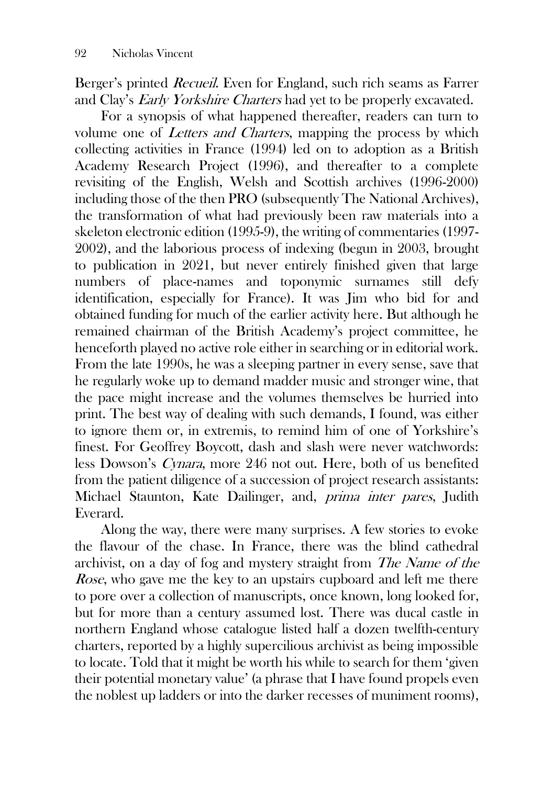Berger's printed Recueil. Even for England, such rich seams as Farrer and Clay's Early Yorkshire Charters had yet to be properly excavated.

For a synopsis of what happened thereafter, readers can turn to volume one of Letters and Charters, mapping the process by which collecting activities in France (1994) led on to adoption as a British Academy Research Project (1996), and thereafter to a complete revisiting of the English, Welsh and Scottish archives (1996-2000) including those of the then PRO (subsequently The National Archives), the transformation of what had previously been raw materials into a skeleton electronic edition (1995-9), the writing of commentaries (1997- 2002), and the laborious process of indexing (begun in 2003, brought to publication in 2021, but never entirely finished given that large numbers of place-names and toponymic surnames still defy identification, especially for France). It was Jim who bid for and obtained funding for much of the earlier activity here. But although he remained chairman of the British Academy's project committee, he henceforth played no active role either in searching or in editorial work. From the late 1990s, he was a sleeping partner in every sense, save that he regularly woke up to demand madder music and stronger wine, that the pace might increase and the volumes themselves be hurried into print. The best way of dealing with such demands, I found, was either to ignore them or, in extremis, to remind him of one of Yorkshire's finest. For Geoffrey Boycott, dash and slash were never watchwords: less Dowson's Cynara, more 246 not out. Here, both of us benefited from the patient diligence of a succession of project research assistants: Michael Staunton, Kate Dailinger, and, prima inter pares, Judith Everard.

Along the way, there were many surprises. A few stories to evoke the flavour of the chase. In France, there was the blind cathedral archivist, on a day of fog and mystery straight from The Name of the Rose, who gave me the key to an upstairs cupboard and left me there to pore over a collection of manuscripts, once known, long looked for, but for more than a century assumed lost. There was ducal castle in northern England whose catalogue listed half a dozen twelfth-century charters, reported by a highly supercilious archivist as being impossible to locate. Told that it might be worth his while to search for them 'given their potential monetary value' (a phrase that I have found propels even the noblest up ladders or into the darker recesses of muniment rooms),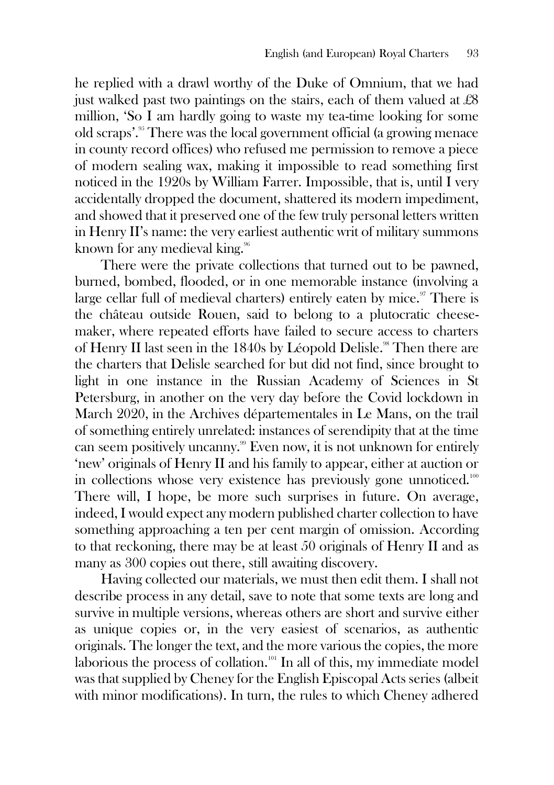he replied with a drawl worthy of the Duke of Omnium, that we had just walked past two paintings on the stairs, each of them valued at  $£8$ million, 'So I am hardly going to waste my tea-time looking for some old scraps'.<sup>95</sup> There was the local government official (a growing menace in county record offices) who refused me permission to remove a piece of modern sealing wax, making it impossible to read something first noticed in the 1920s by William Farrer. Impossible, that is, until I very accidentally dropped the document, shattered its modern impediment, and showed that it preserved one of the few truly personal letters written in Henry II's name: the very earliest authentic writ of military summons known for any medieval king.<sup>96</sup>

There were the private collections that turned out to be pawned, burned, bombed, flooded, or in one memorable instance (involving a large cellar full of medieval charters) entirely eaten by mice.<sup>97</sup> There is the château outside Rouen, said to belong to a plutocratic cheesemaker, where repeated efforts have failed to secure access to charters of Henry II last seen in the 1840s by Léopold Delisle.<sup>98</sup> Then there are the charters that Delisle searched for but did not find, since brought to light in one instance in the Russian Academy of Sciences in St Petersburg, in another on the very day before the Covid lockdown in March 2020, in the Archives départementales in Le Mans, on the trail of something entirely unrelated: instances of serendipity that at the time can seem positively uncanny. <sup>99</sup> Even now, it is not unknown for entirely 'new' originals of Henry II and his family to appear, either at auction or in collections whose very existence has previously gone unnoticed.<sup>100</sup> There will, I hope, be more such surprises in future. On average, indeed, I would expect any modern published charter collection to have something approaching a ten per cent margin of omission. According to that reckoning, there may be at least 50 originals of Henry II and as many as 300 copies out there, still awaiting discovery.

Having collected our materials, we must then edit them. I shall not describe process in any detail, save to note that some texts are long and survive in multiple versions, whereas others are short and survive either as unique copies or, in the very easiest of scenarios, as authentic originals. The longer the text, and the more various the copies, the more laborious the process of collation.<sup>101</sup> In all of this, my immediate model was that supplied by Cheney for the English Episcopal Acts series (albeit with minor modifications). In turn, the rules to which Cheney adhered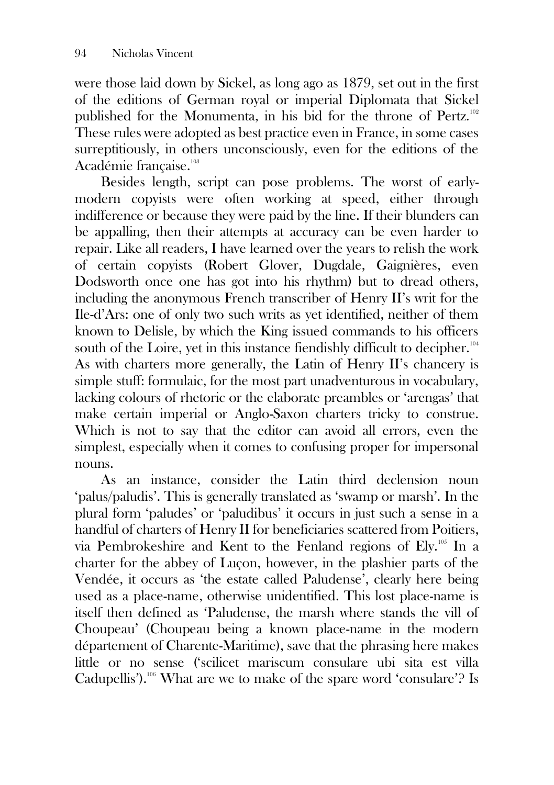were those laid down by Sickel, as long ago as 1879, set out in the first of the editions of German royal or imperial Diplomata that Sickel published for the Monumenta, in his bid for the throne of Pertz.<sup>102</sup> These rules were adopted as best practice even in France, in some cases surreptitiously, in others unconsciously, even for the editions of the Académie française.<sup>103</sup>

Besides length, script can pose problems. The worst of earlymodern copyists were often working at speed, either through indifference or because they were paid by the line. If their blunders can be appalling, then their attempts at accuracy can be even harder to repair. Like all readers, I have learned over the years to relish the work of certain copyists (Robert Glover, Dugdale, Gaignières, even Dodsworth once one has got into his rhythm) but to dread others, including the anonymous French transcriber of Henry II's writ for the Ile-d'Ars: one of only two such writs as yet identified, neither of them known to Delisle, by which the King issued commands to his officers south of the Loire, yet in this instance fiendishly difficult to decipher.<sup>104</sup> As with charters more generally, the Latin of Henry II's chancery is simple stuff: formulaic, for the most part unadventurous in vocabulary, lacking colours of rhetoric or the elaborate preambles or 'arengas' that make certain imperial or Anglo-Saxon charters tricky to construe. Which is not to say that the editor can avoid all errors, even the simplest, especially when it comes to confusing proper for impersonal nouns.

As an instance, consider the Latin third declension noun 'palus/paludis'. This is generally translated as 'swamp or marsh'. In the plural form 'paludes' or 'paludibus' it occurs in just such a sense in a handful of charters of Henry II for beneficiaries scattered from Poitiers, via Pembrokeshire and Kent to the Fenland regions of Ely.<sup>105</sup> In a charter for the abbey of Luçon, however, in the plashier parts of the Vendée, it occurs as 'the estate called Paludense', clearly here being used as a place-name, otherwise unidentified. This lost place-name is itself then defined as 'Paludense, the marsh where stands the vill of Choupeau' (Choupeau being a known place-name in the modern département of Charente-Maritime), save that the phrasing here makes little or no sense ('scilicet mariscum consulare ubi sita est villa Cadupellis').<sup>106</sup> What are we to make of the spare word 'consulare'? Is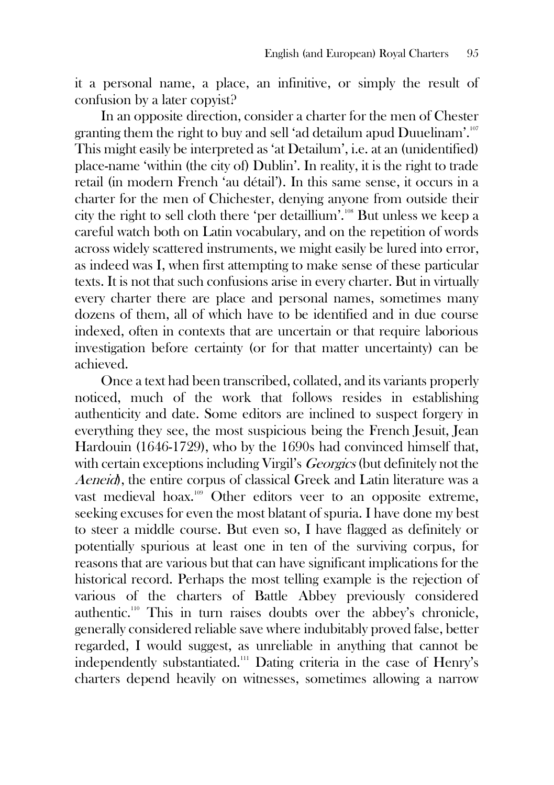it a personal name, a place, an infinitive, or simply the result of confusion by a later copyist?

In an opposite direction, consider a charter for the men of Chester granting them the right to buy and sell 'ad detailum apud Duuelinam'.<sup>107</sup> This might easily be interpreted as 'at Detailum', i.e. at an (unidentified) place-name 'within (the city of) Dublin'. In reality, it is the right to trade retail (in modern French 'au détail'). In this same sense, it occurs in a charter for the men of Chichester, denying anyone from outside their city the right to sell cloth there 'per detaillium'.<sup>108</sup> But unless we keep a careful watch both on Latin vocabulary, and on the repetition of words across widely scattered instruments, we might easily be lured into error, as indeed was I, when first attempting to make sense of these particular texts. It is not that such confusions arise in every charter. But in virtually every charter there are place and personal names, sometimes many dozens of them, all of which have to be identified and in due course indexed, often in contexts that are uncertain or that require laborious investigation before certainty (or for that matter uncertainty) can be achieved.

Once a text had been transcribed, collated, and its variants properly noticed, much of the work that follows resides in establishing authenticity and date. Some editors are inclined to suspect forgery in everything they see, the most suspicious being the French Jesuit, Jean Hardouin (1646-1729), who by the 1690s had convinced himself that, with certain exceptions including Virgil's *Georgics* (but definitely not the Aeneid), the entire corpus of classical Greek and Latin literature was a vast medieval hoax.<sup>109</sup> Other editors veer to an opposite extreme, seeking excuses for even the most blatant of spuria. I have done my best to steer a middle course. But even so, I have flagged as definitely or potentially spurious at least one in ten of the surviving corpus, for reasons that are various but that can have significant implications for the historical record. Perhaps the most telling example is the rejection of various of the charters of Battle Abbey previously considered authentic.<sup>110</sup> This in turn raises doubts over the abbey's chronicle, generally considered reliable save where indubitably proved false, better regarded, I would suggest, as unreliable in anything that cannot be independently substantiated.<sup>111</sup> Dating criteria in the case of Henry's charters depend heavily on witnesses, sometimes allowing a narrow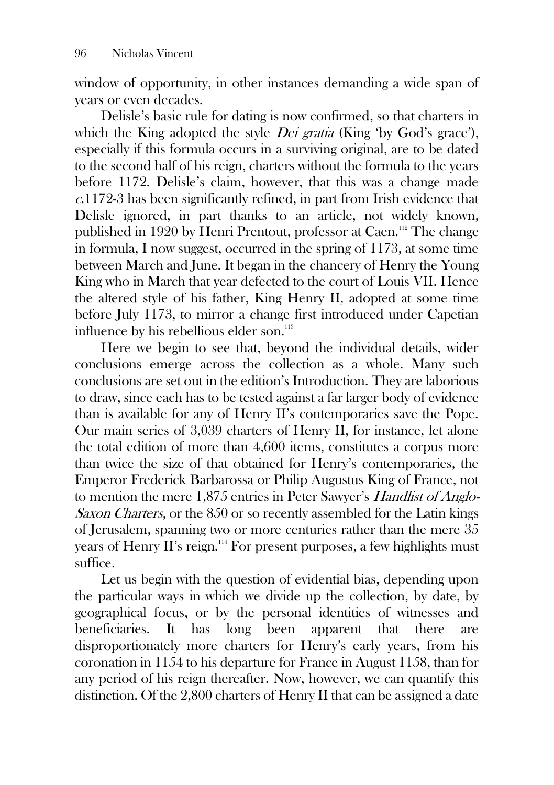window of opportunity, in other instances demanding a wide span of years or even decades.

Delisle's basic rule for dating is now confirmed, so that charters in which the King adopted the style *Dei gratia* (King 'by God's grace'), especially if this formula occurs in a surviving original, are to be dated to the second half of his reign, charters without the formula to the years before 1172. Delisle's claim, however, that this was a change made <sup>c</sup>.1172-3 has been significantly refined, in part from Irish evidence that Delisle ignored, in part thanks to an article, not widely known, published in 1920 by Henri Prentout, professor at Caen.<sup>112</sup> The change in formula, I now suggest, occurred in the spring of 1173, at some time between March and June. It began in the chancery of Henry the Young King who in March that year defected to the court of Louis VII. Hence the altered style of his father, King Henry II, adopted at some time before July 1173, to mirror a change first introduced under Capetian influence by his rebellious elder son.<sup>113</sup>

Here we begin to see that, beyond the individual details, wider conclusions emerge across the collection as a whole. Many such conclusions are set out in the edition's Introduction. They are laborious to draw, since each has to be tested against a far larger body of evidence than is available for any of Henry II's contemporaries save the Pope. Our main series of 3,039 charters of Henry II, for instance, let alone the total edition of more than 4,600 items, constitutes a corpus more than twice the size of that obtained for Henry's contemporaries, the Emperor Frederick Barbarossa or Philip Augustus King of France, not to mention the mere 1,875 entries in Peter Sawyer's Handlist of Anglo-Saxon Charters, or the 850 or so recently assembled for the Latin kings of Jerusalem, spanning two or more centuries rather than the mere 35 years of Henry II's reign.<sup>114</sup> For present purposes, a few highlights must suffice.

Let us begin with the question of evidential bias, depending upon the particular ways in which we divide up the collection, by date, by geographical focus, or by the personal identities of witnesses and beneficiaries. It has long been apparent that there are disproportionately more charters for Henry's early years, from his coronation in 1154 to his departure for France in August 1158, than for any period of his reign thereafter. Now, however, we can quantify this distinction. Of the 2,800 charters of Henry II that can be assigned a date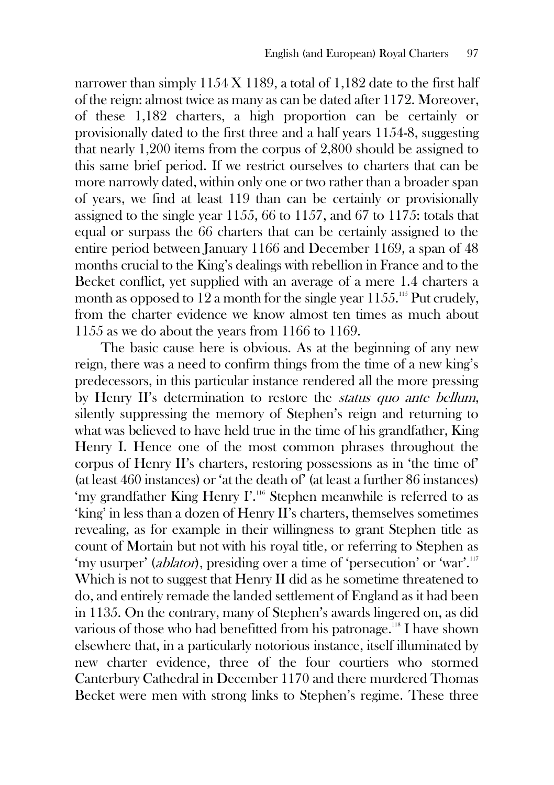narrower than simply  $1154 X 1189$ , a total of  $1,182$  date to the first half of the reign: almost twice as many as can be dated after 1172. Moreover, of these 1,182 charters, a high proportion can be certainly or provisionally dated to the first three and a half years 1154-8, suggesting that nearly 1,200 items from the corpus of 2,800 should be assigned to this same brief period. If we restrict ourselves to charters that can be more narrowly dated, within only one or two rather than a broader span of years, we find at least 119 than can be certainly or provisionally assigned to the single year 1155, 66 to 1157, and 67 to 1175: totals that equal or surpass the 66 charters that can be certainly assigned to the entire period between January 1166 and December 1169, a span of 48 months crucial to the King's dealings with rebellion in France and to the Becket conflict, yet supplied with an average of a mere 1.4 charters a month as opposed to 12 a month for the single year  $1155$ .<sup>115</sup> Put crudely, from the charter evidence we know almost ten times as much about 1155 as we do about the years from 1166 to 1169.

The basic cause here is obvious. As at the beginning of any new reign, there was a need to confirm things from the time of a new king's predecessors, in this particular instance rendered all the more pressing by Henry II's determination to restore the status quo ante bellum, silently suppressing the memory of Stephen's reign and returning to what was believed to have held true in the time of his grandfather, King Henry I. Hence one of the most common phrases throughout the corpus of Henry II's charters, restoring possessions as in 'the time of' (at least 460 instances) or 'at the death of' (at least a further 86 instances) 'my grandfather King Henry  $\Gamma$ <sup>116</sup>. Stephen meanwhile is referred to as 'king' in less than a dozen of Henry II's charters, themselves sometimes revealing, as for example in their willingness to grant Stephen title as count of Mortain but not with his royal title, or referring to Stephen as 'my usurper' (*ablator*), presiding over a time of 'persecution' or 'war'.<sup>117</sup> Which is not to suggest that Henry II did as he sometime threatened to do, and entirely remade the landed settlement of England as it had been in 1135. On the contrary, many of Stephen's awards lingered on, as did various of those who had benefitted from his patronage.<sup>118</sup> I have shown elsewhere that, in a particularly notorious instance, itself illuminated by new charter evidence, three of the four courtiers who stormed Canterbury Cathedral in December 1170 and there murdered Thomas Becket were men with strong links to Stephen's regime. These three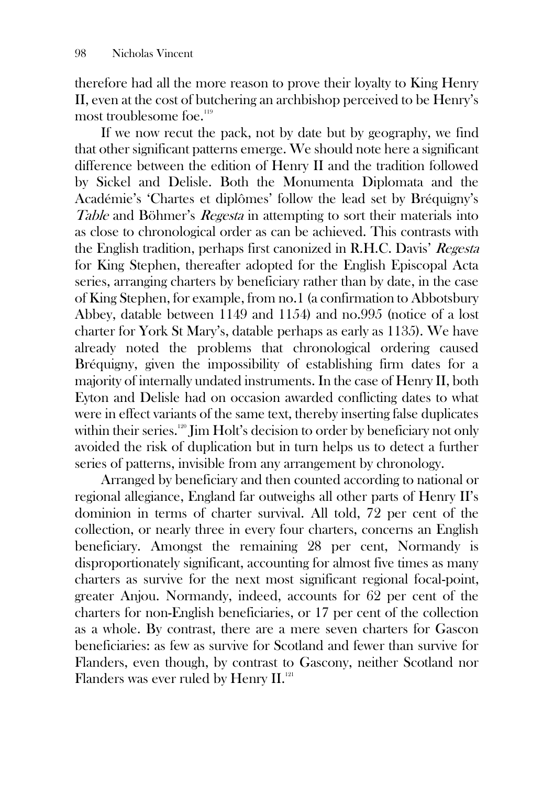therefore had all the more reason to prove their loyalty to King Henry II, even at the cost of butchering an archbishop perceived to be Henry's most troublesome foe.<sup>119</sup>

If we now recut the pack, not by date but by geography, we find that other significant patterns emerge. We should note here a significant difference between the edition of Henry II and the tradition followed by Sickel and Delisle. Both the Monumenta Diplomata and the Académie's 'Chartes et diplômes' follow the lead set by Bréquigny's Table and Böhmer's *Regesta* in attempting to sort their materials into as close to chronological order as can be achieved. This contrasts with the English tradition, perhaps first canonized in R.H.C. Davis' Regesta for King Stephen, thereafter adopted for the English Episcopal Acta series, arranging charters by beneficiary rather than by date, in the case of King Stephen, for example, from no.1 (a confirmation to Abbotsbury Abbey, datable between 1149 and 1154) and no.995 (notice of a lost charter for York St Mary's, datable perhaps as early as 1135). We have already noted the problems that chronological ordering caused Bréquigny, given the impossibility of establishing firm dates for a majority of internally undated instruments. In the case of Henry II, both Eyton and Delisle had on occasion awarded conflicting dates to what were in effect variants of the same text, thereby inserting false duplicates within their series.<sup>120</sup> Jim Holt's decision to order by beneficiary not only avoided the risk of duplication but in turn helps us to detect a further series of patterns, invisible from any arrangement by chronology.

Arranged by beneficiary and then counted according to national or regional allegiance, England far outweighs all other parts of Henry II's dominion in terms of charter survival. All told, 72 per cent of the collection, or nearly three in every four charters, concerns an English beneficiary. Amongst the remaining 28 per cent, Normandy is disproportionately significant, accounting for almost five times as many charters as survive for the next most significant regional focal-point, greater Anjou. Normandy, indeed, accounts for 62 per cent of the charters for non-English beneficiaries, or 17 per cent of the collection as a whole. By contrast, there are a mere seven charters for Gascon beneficiaries: as few as survive for Scotland and fewer than survive for Flanders, even though, by contrast to Gascony, neither Scotland nor Flanders was ever ruled by Henry II.<sup>121</sup>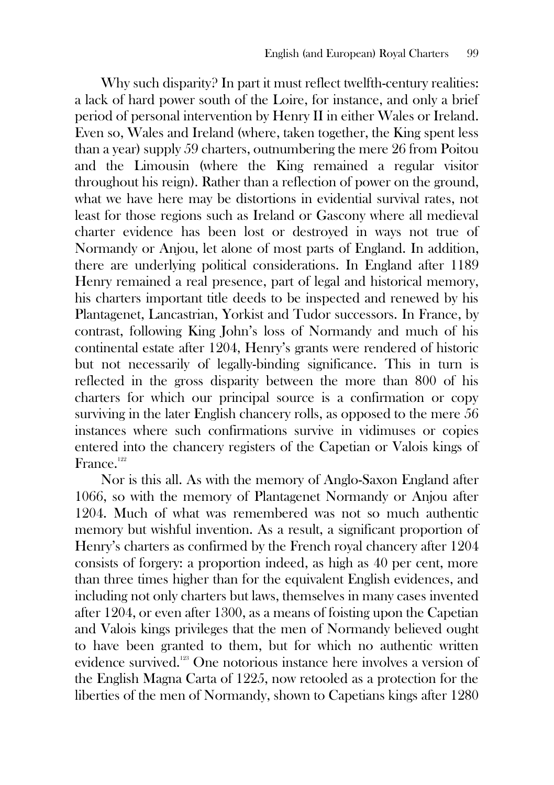Why such disparity? In part it must reflect twelfth-century realities: a lack of hard power south of the Loire, for instance, and only a brief period of personal intervention by Henry II in either Wales or Ireland. Even so, Wales and Ireland (where, taken together, the King spent less than a year) supply 59 charters, outnumbering the mere 26 from Poitou and the Limousin (where the King remained a regular visitor throughout his reign). Rather than a reflection of power on the ground, what we have here may be distortions in evidential survival rates, not least for those regions such as Ireland or Gascony where all medieval charter evidence has been lost or destroyed in ways not true of Normandy or Anjou, let alone of most parts of England. In addition, there are underlying political considerations. In England after 1189 Henry remained a real presence, part of legal and historical memory, his charters important title deeds to be inspected and renewed by his Plantagenet, Lancastrian, Yorkist and Tudor successors. In France, by contrast, following King John's loss of Normandy and much of his continental estate after 1204, Henry's grants were rendered of historic but not necessarily of legally-binding significance. This in turn is reflected in the gross disparity between the more than 800 of his charters for which our principal source is a confirmation or copy surviving in the later English chancery rolls, as opposed to the mere 56 instances where such confirmations survive in vidimuses or copies entered into the chancery registers of the Capetian or Valois kings of France.<sup>122</sup>

Nor is this all. As with the memory of Anglo-Saxon England after 1066, so with the memory of Plantagenet Normandy or Anjou after 1204. Much of what was remembered was not so much authentic memory but wishful invention. As a result, a significant proportion of Henry's charters as confirmed by the French royal chancery after 1204 consists of forgery: a proportion indeed, as high as 40 per cent, more than three times higher than for the equivalent English evidences, and including not only charters but laws, themselves in many cases invented after 1204, or even after 1300, as a means of foisting upon the Capetian and Valois kings privileges that the men of Normandy believed ought to have been granted to them, but for which no authentic written evidence survived.<sup>123</sup> One notorious instance here involves a version of the English Magna Carta of 1225, now retooled as a protection for the liberties of the men of Normandy, shown to Capetians kings after 1280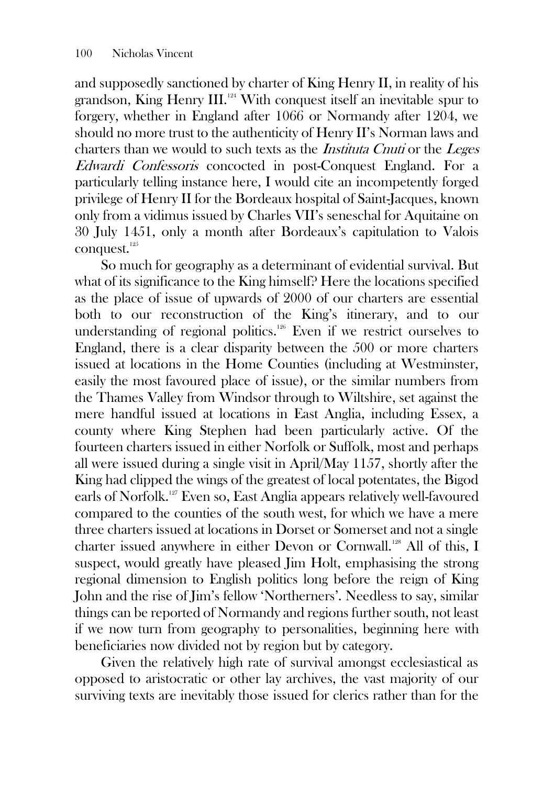and supposedly sanctioned by charter of King Henry II, in reality of his grandson, King Henry III.<sup>124</sup> With conquest itself an inevitable spur to forgery, whether in England after 1066 or Normandy after 1204, we should no more trust to the authenticity of Henry II's Norman laws and charters than we would to such texts as the Instituta Cnuti or the Leges Edwardi Confessoris concocted in post-Conquest England. For a particularly telling instance here, I would cite an incompetently forged privilege of Henry II for the Bordeaux hospital of Saint-Jacques, known only from a vidimus issued by Charles VII's seneschal for Aquitaine on 30 July 1451, only a month after Bordeaux's capitulation to Valois conquest.<sup>125</sup>

So much for geography as a determinant of evidential survival. But what of its significance to the King himself? Here the locations specified as the place of issue of upwards of 2000 of our charters are essential both to our reconstruction of the King's itinerary, and to our understanding of regional politics.<sup>126</sup> Even if we restrict ourselves to England, there is a clear disparity between the 500 or more charters issued at locations in the Home Counties (including at Westminster, easily the most favoured place of issue), or the similar numbers from the Thames Valley from Windsor through to Wiltshire, set against the mere handful issued at locations in East Anglia, including Essex, a county where King Stephen had been particularly active. Of the fourteen charters issued in either Norfolk or Suffolk, most and perhaps all were issued during a single visit in April/May 1157, shortly after the King had clipped the wings of the greatest of local potentates, the Bigod earls of Norfolk.<sup>127</sup> Even so, East Anglia appears relatively well-favoured compared to the counties of the south west, for which we have a mere three charters issued at locations in Dorset or Somerset and not a single charter issued anywhere in either Devon or Cornwall.<sup>128</sup> All of this, I suspect, would greatly have pleased Jim Holt, emphasising the strong regional dimension to English politics long before the reign of King John and the rise of Jim's fellow 'Northerners'. Needless to say, similar things can be reported of Normandy and regions further south, not least if we now turn from geography to personalities, beginning here with beneficiaries now divided not by region but by category.

Given the relatively high rate of survival amongst ecclesiastical as opposed to aristocratic or other lay archives, the vast majority of our surviving texts are inevitably those issued for clerics rather than for the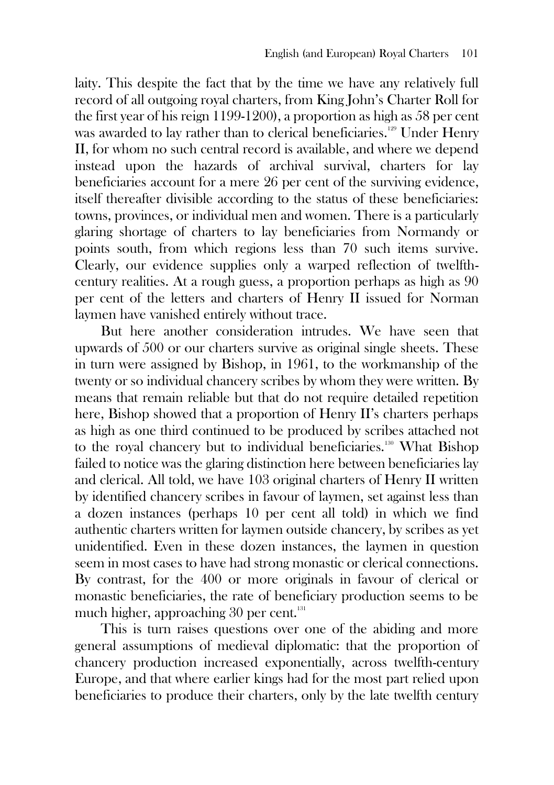laity. This despite the fact that by the time we have any relatively full record of all outgoing royal charters, from King John's Charter Roll for the first year of his reign 1199-1200), a proportion as high as 58 per cent was awarded to lay rather than to clerical beneficiaries.<sup>129</sup> Under Henry II, for whom no such central record is available, and where we depend instead upon the hazards of archival survival, charters for lay beneficiaries account for a mere 26 per cent of the surviving evidence, itself thereafter divisible according to the status of these beneficiaries: towns, provinces, or individual men and women. There is a particularly glaring shortage of charters to lay beneficiaries from Normandy or points south, from which regions less than 70 such items survive. Clearly, our evidence supplies only a warped reflection of twelfthcentury realities. At a rough guess, a proportion perhaps as high as 90 per cent of the letters and charters of Henry II issued for Norman laymen have vanished entirely without trace.

But here another consideration intrudes. We have seen that upwards of 500 or our charters survive as original single sheets. These in turn were assigned by Bishop, in 1961, to the workmanship of the twenty or so individual chancery scribes by whom they were written. By means that remain reliable but that do not require detailed repetition here, Bishop showed that a proportion of Henry II's charters perhaps as high as one third continued to be produced by scribes attached not to the royal chancery but to individual beneficiaries.<sup>130</sup> What Bishop failed to notice was the glaring distinction here between beneficiaries lay and clerical. All told, we have 103 original charters of Henry II written by identified chancery scribes in favour of laymen, set against less than a dozen instances (perhaps 10 per cent all told) in which we find authentic charters written for laymen outside chancery, by scribes as yet unidentified. Even in these dozen instances, the laymen in question seem in most cases to have had strong monastic or clerical connections. By contrast, for the 400 or more originals in favour of clerical or monastic beneficiaries, the rate of beneficiary production seems to be much higher, approaching 30 per cent. 131

This is turn raises questions over one of the abiding and more general assumptions of medieval diplomatic: that the proportion of chancery production increased exponentially, across twelfth-century Europe, and that where earlier kings had for the most part relied upon beneficiaries to produce their charters, only by the late twelfth century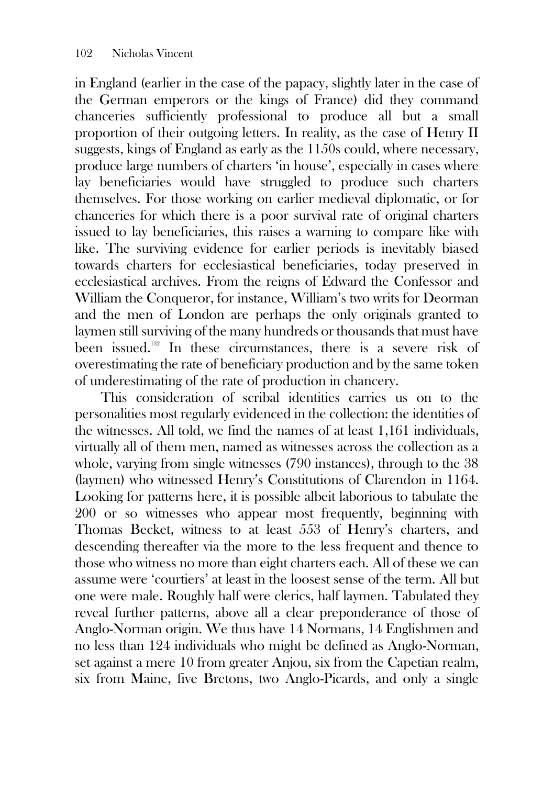in England (earlier in the case of the papacy, slightly later in the case of the German emperors or the kings of France) did they command chanceries sufficiently professional to produce all but a small proportion of their outgoing letters. In reality, as the case of Henry II suggests, kings of England as early as the 1150s could, where necessary, produce large numbers of charters 'in house', especially in cases where lay beneficiaries would have struggled to produce such charters themselves. For those working on earlier medieval diplomatic, or for chanceries for which there is a poor survival rate of original charters issued to lay beneficiaries, this raises a warning to compare like with like. The surviving evidence for earlier periods is inevitably biased towards charters for ecclesiastical beneficiaries, today preserved in ecclesiastical archives. From the reigns of Edward the Confessor and William the Conqueror, for instance, William's two writs for Deorman and the men of London are perhaps the only originals granted to laymen still surviving of the many hundreds or thousands that must have been issued.<sup>132</sup> In these circumstances, there is a severe risk of overestimating the rate of beneficiary production and by the same token of underestimating of the rate of production in chancery.

This consideration of scribal identities carries us on to the personalities most regularly evidenced in the collection: the identities of the witnesses. All told, we find the names of at least 1,161 individuals, virtually all of them men, named as witnesses across the collection as a whole, varying from single witnesses (790 instances), through to the 38 (laymen) who witnessed Henry's Constitutions of Clarendon in 1164. Looking for patterns here, it is possible albeit laborious to tabulate the 200 or so witnesses who appear most frequently, beginning with Thomas Becket, witness to at least 553 of Henry's charters, and descending thereafter via the more to the less frequent and thence to those who witness no more than eight charters each. All of these we can assume were 'courtiers' at least in the loosest sense of the term. All but one were male. Roughly half were clerics, half laymen. Tabulated they reveal further patterns, above all a clear preponderance of those of Anglo-Norman origin. We thus have 14 Normans, 14 Englishmen and no less than 124 individuals who might be defined as Anglo-Norman, set against a mere 10 from greater Anjou, six from the Capetian realm, six from Maine, five Bretons, two Anglo-Picards, and only a single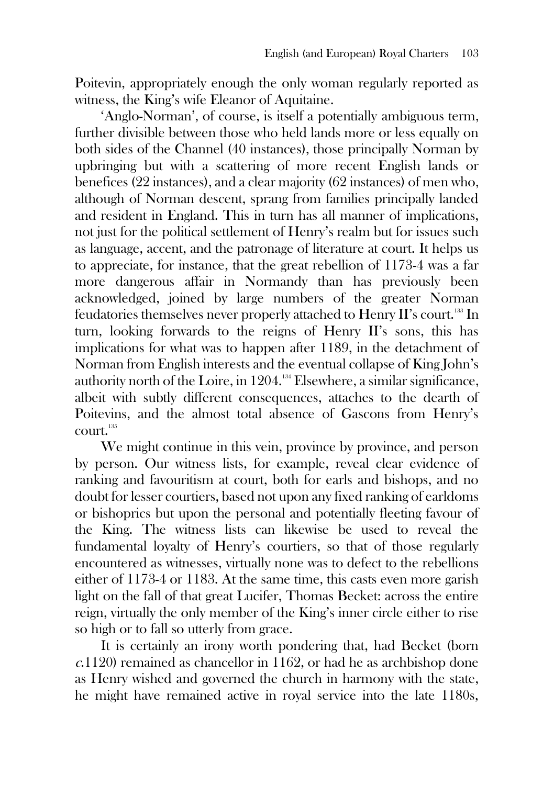Poitevin, appropriately enough the only woman regularly reported as witness, the King's wife Eleanor of Aquitaine.

'Anglo-Norman', of course, is itself a potentially ambiguous term, further divisible between those who held lands more or less equally on both sides of the Channel (40 instances), those principally Norman by upbringing but with a scattering of more recent English lands or benefices (22 instances), and a clear majority (62 instances) of men who, although of Norman descent, sprang from families principally landed and resident in England. This in turn has all manner of implications, not just for the political settlement of Henry's realm but for issues such as language, accent, and the patronage of literature at court. It helps us to appreciate, for instance, that the great rebellion of 1173-4 was a far more dangerous affair in Normandy than has previously been acknowledged, joined by large numbers of the greater Norman feudatories themselves never properly attached to Henry II's court.<sup>133</sup> In turn, looking forwards to the reigns of Henry II's sons, this has implications for what was to happen after 1189, in the detachment of Norman from English interests and the eventual collapse of King John's authority north of the Loire, in 1204.<sup>134</sup> Elsewhere, a similar significance, albeit with subtly different consequences, attaches to the dearth of Poitevins, and the almost total absence of Gascons from Henry's court.  $^{135}$ 

We might continue in this vein, province by province, and person by person. Our witness lists, for example, reveal clear evidence of ranking and favouritism at court, both for earls and bishops, and no doubt for lesser courtiers, based not upon any fixed ranking of earldoms or bishoprics but upon the personal and potentially fleeting favour of the King. The witness lists can likewise be used to reveal the fundamental loyalty of Henry's courtiers, so that of those regularly encountered as witnesses, virtually none was to defect to the rebellions either of 1173-4 or 1183. At the same time, this casts even more garish light on the fall of that great Lucifer, Thomas Becket: across the entire reign, virtually the only member of the King's inner circle either to rise so high or to fall so utterly from grace.

It is certainly an irony worth pondering that, had Becket (born <sup>c</sup>.1120) remained as chancellor in 1162, or had he as archbishop done as Henry wished and governed the church in harmony with the state, he might have remained active in royal service into the late 1180s,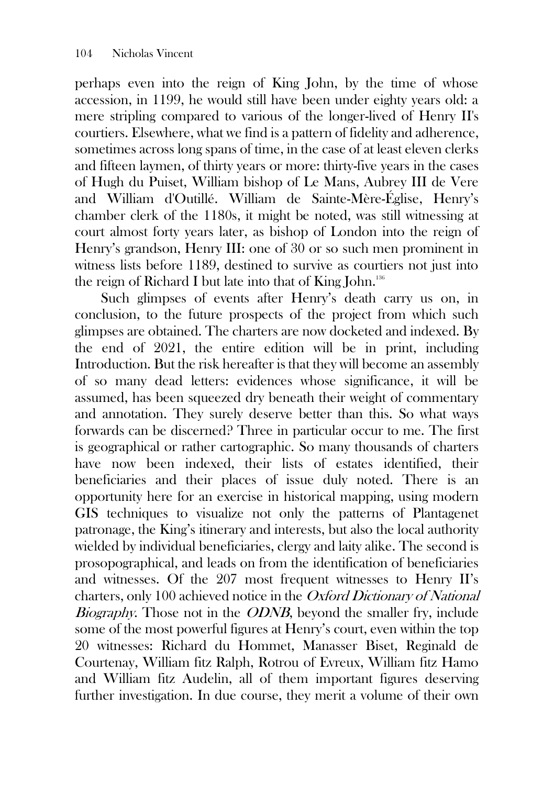perhaps even into the reign of King John, by the time of whose accession, in 1199, he would still have been under eighty years old: a mere stripling compared to various of the longer-lived of Henry II's courtiers. Elsewhere, what we find is a pattern of fidelity and adherence, sometimes across long spans of time, in the case of at least eleven clerks and fifteen laymen, of thirty years or more: thirty-five years in the cases of Hugh du Puiset, William bishop of Le Mans, Aubrey III de Vere and William d'Outillé. William de Sainte-Mère-Église, Henry's chamber clerk of the 1180s, it might be noted, was still witnessing at court almost forty years later, as bishop of London into the reign of Henry's grandson, Henry III: one of 30 or so such men prominent in witness lists before 1189, destined to survive as courtiers not just into the reign of Richard I but late into that of King John.<sup>136</sup>

Such glimpses of events after Henry's death carry us on, in conclusion, to the future prospects of the project from which such glimpses are obtained. The charters are now docketed and indexed. By the end of 2021, the entire edition will be in print, including Introduction. But the risk hereafter is that they will become an assembly of so many dead letters: evidences whose significance, it will be assumed, has been squeezed dry beneath their weight of commentary and annotation. They surely deserve better than this. So what ways forwards can be discerned? Three in particular occur to me. The first is geographical or rather cartographic. So many thousands of charters have now been indexed, their lists of estates identified, their beneficiaries and their places of issue duly noted. There is an opportunity here for an exercise in historical mapping, using modern GIS techniques to visualize not only the patterns of Plantagenet patronage, the King's itinerary and interests, but also the local authority wielded by individual beneficiaries, clergy and laity alike. The second is prosopographical, and leads on from the identification of beneficiaries and witnesses. Of the 207 most frequent witnesses to Henry II's charters, only 100 achieved notice in the Oxford Dictionary of National Biography. Those not in the *ODNB*, beyond the smaller fry, include some of the most powerful figures at Henry's court, even within the top 20 witnesses: Richard du Hommet, Manasser Biset, Reginald de Courtenay, William fitz Ralph, Rotrou of Evreux, William fitz Hamo and William fitz Audelin, all of them important figures deserving further investigation. In due course, they merit a volume of their own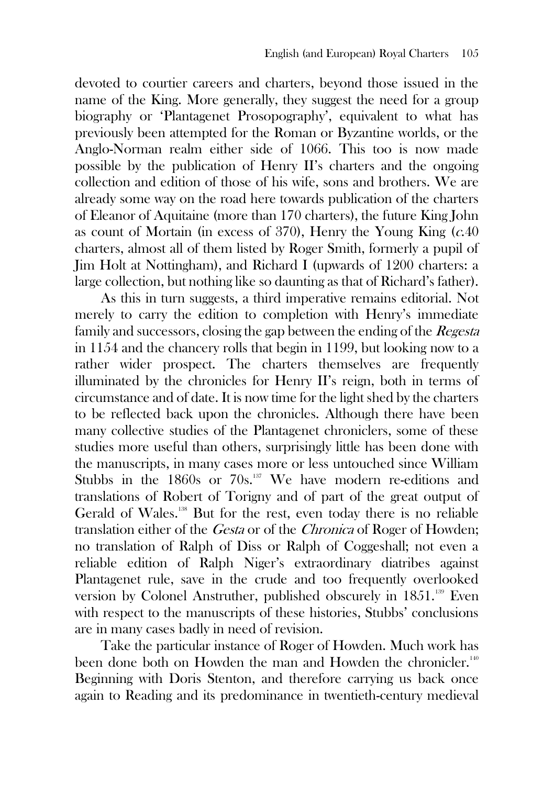devoted to courtier careers and charters, beyond those issued in the name of the King. More generally, they suggest the need for a group biography or 'Plantagenet Prosopography', equivalent to what has previously been attempted for the Roman or Byzantine worlds, or the Anglo-Norman realm either side of 1066. This too is now made possible by the publication of Henry II's charters and the ongoing collection and edition of those of his wife, sons and brothers. We are already some way on the road here towards publication of the charters of Eleanor of Aquitaine (more than 170 charters), the future King John as count of Mortain (in excess of 370), Henry the Young King  $(c.40)$ charters, almost all of them listed by Roger Smith, formerly a pupil of Jim Holt at Nottingham), and Richard I (upwards of 1200 charters: a large collection, but nothing like so daunting as that of Richard's father).

As this in turn suggests, a third imperative remains editorial. Not merely to carry the edition to completion with Henry's immediate family and successors, closing the gap between the ending of the *Regesta* in 1154 and the chancery rolls that begin in 1199, but looking now to a rather wider prospect. The charters themselves are frequently illuminated by the chronicles for Henry II's reign, both in terms of circumstance and of date. It is now time for the light shed by the charters to be reflected back upon the chronicles. Although there have been many collective studies of the Plantagenet chroniclers, some of these studies more useful than others, surprisingly little has been done with the manuscripts, in many cases more or less untouched since William Stubbs in the 1860s or 70s.<sup>137</sup> We have modern re-editions and translations of Robert of Torigny and of part of the great output of Gerald of Wales.<sup>138</sup> But for the rest, even today there is no reliable translation either of the Gesta or of the Chronica of Roger of Howden; no translation of Ralph of Diss or Ralph of Coggeshall; not even a reliable edition of Ralph Niger's extraordinary diatribes against Plantagenet rule, save in the crude and too frequently overlooked version by Colonel Anstruther, published obscurely in 1851.<sup>139</sup> Even with respect to the manuscripts of these histories, Stubbs' conclusions are in many cases badly in need of revision.

Take the particular instance of Roger of Howden. Much work has been done both on Howden the man and Howden the chronicler.<sup>140</sup> Beginning with Doris Stenton, and therefore carrying us back once again to Reading and its predominance in twentieth-century medieval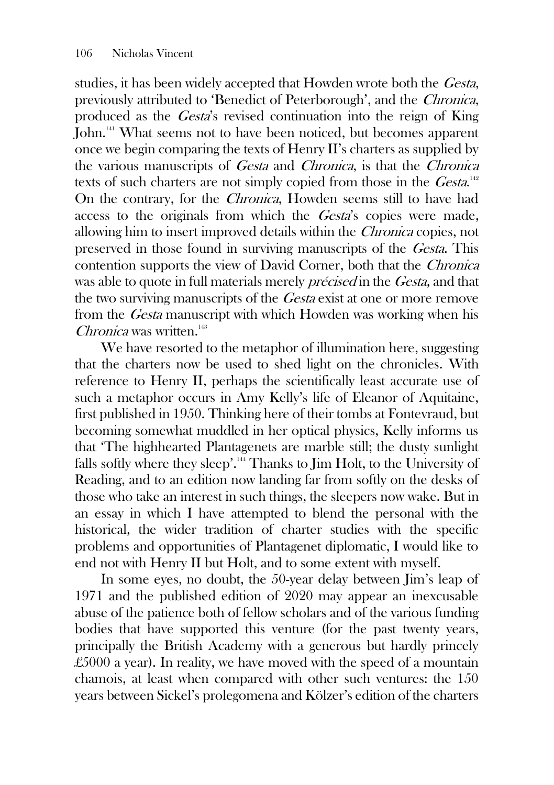studies, it has been widely accepted that Howden wrote both the Gesta, previously attributed to 'Benedict of Peterborough', and the Chronica, produced as the Gesta's revised continuation into the reign of King John.<sup>141</sup> What seems not to have been noticed, but becomes apparent once we begin comparing the texts of Henry II's charters as supplied by the various manuscripts of Gesta and Chronica, is that the Chronica texts of such charters are not simply copied from those in the  $\textit{Gesta}^{\text{142}}$ On the contrary, for the Chronica, Howden seems still to have had access to the originals from which the Gesta's copies were made, allowing him to insert improved details within the Chronica copies, not preserved in those found in surviving manuscripts of the Gesta. This contention supports the view of David Corner, both that the Chronica was able to quote in full materials merely *précised* in the *Gesta*, and that the two surviving manuscripts of the Gesta exist at one or more remove from the Gesta manuscript with which Howden was working when his Chronica was written.<sup>143</sup>

We have resorted to the metaphor of illumination here, suggesting that the charters now be used to shed light on the chronicles. With reference to Henry II, perhaps the scientifically least accurate use of such a metaphor occurs in Amy Kelly's life of Eleanor of Aquitaine, first published in 1950. Thinking here of their tombs at Fontevraud, but becoming somewhat muddled in her optical physics, Kelly informs us that 'The highhearted Plantagenets are marble still; the dusty sunlight falls softly where they sleep'.<sup>144</sup> Thanks to Jim Holt, to the University of Reading, and to an edition now landing far from softly on the desks of those who take an interest in such things, the sleepers now wake. But in an essay in which I have attempted to blend the personal with the historical, the wider tradition of charter studies with the specific problems and opportunities of Plantagenet diplomatic, I would like to end not with Henry II but Holt, and to some extent with myself.

In some eyes, no doubt, the 50-year delay between Jim's leap of 1971 and the published edition of 2020 may appear an inexcusable abuse of the patience both of fellow scholars and of the various funding bodies that have supported this venture (for the past twenty years, principally the British Academy with a generous but hardly princely £5000 a year). In reality, we have moved with the speed of a mountain chamois, at least when compared with other such ventures: the 150 years between Sickel's prolegomena and Kölzer's edition of the charters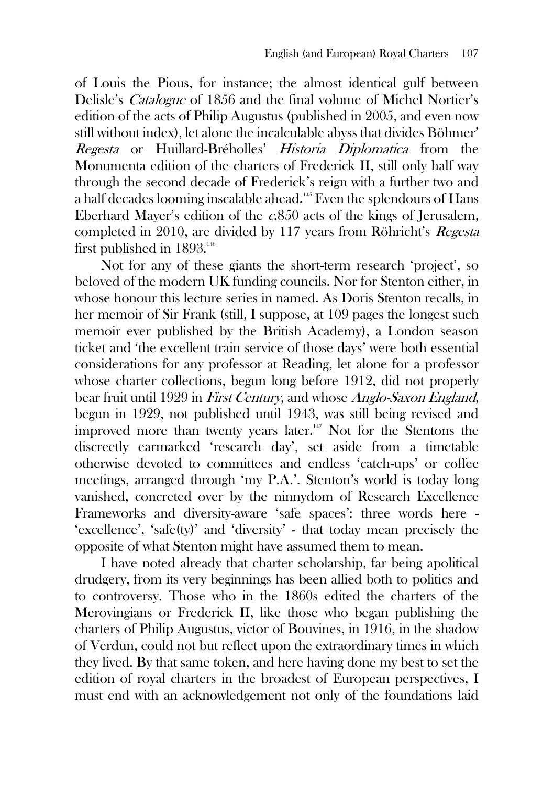of Louis the Pious, for instance; the almost identical gulf between Delisle's Catalogue of 1856 and the final volume of Michel Nortier's edition of the acts of Philip Augustus (published in 2005, and even now still without index), let alone the incalculable abyss that divides Böhmer' Regesta or Huillard-Bréholles' Historia Diplomatica from the Monumenta edition of the charters of Frederick II, still only half way through the second decade of Frederick's reign with a further two and a half decades looming inscalable ahead.<sup>145</sup> Even the splendours of Hans Eberhard Mayer's edition of the  $c.850$  acts of the kings of Jerusalem, completed in 2010, are divided by 117 years from Röhricht's Regesta first published in 1893.<sup>146</sup>

Not for any of these giants the short-term research 'project', so beloved of the modern UK funding councils. Nor for Stenton either, in whose honour this lecture series in named. As Doris Stenton recalls, in her memoir of Sir Frank (still, I suppose, at 109 pages the longest such memoir ever published by the British Academy), a London season ticket and 'the excellent train service of those days' were both essential considerations for any professor at Reading, let alone for a professor whose charter collections, begun long before 1912, did not properly bear fruit until 1929 in First Century, and whose Anglo-Saxon England, begun in 1929, not published until 1943, was still being revised and improved more than twenty years later.<sup>147</sup> Not for the Stentons the discreetly earmarked 'research day', set aside from a timetable otherwise devoted to committees and endless 'catch-ups' or coffee meetings, arranged through 'my P.A.'. Stenton's world is today long vanished, concreted over by the ninnydom of Research Excellence Frameworks and diversity-aware 'safe spaces': three words here - 'excellence', 'safe(ty)' and 'diversity' - that today mean precisely the opposite of what Stenton might have assumed them to mean.

I have noted already that charter scholarship, far being apolitical drudgery, from its very beginnings has been allied both to politics and to controversy. Those who in the 1860s edited the charters of the Merovingians or Frederick II, like those who began publishing the charters of Philip Augustus, victor of Bouvines, in 1916, in the shadow of Verdun, could not but reflect upon the extraordinary times in which they lived. By that same token, and here having done my best to set the edition of royal charters in the broadest of European perspectives, I must end with an acknowledgement not only of the foundations laid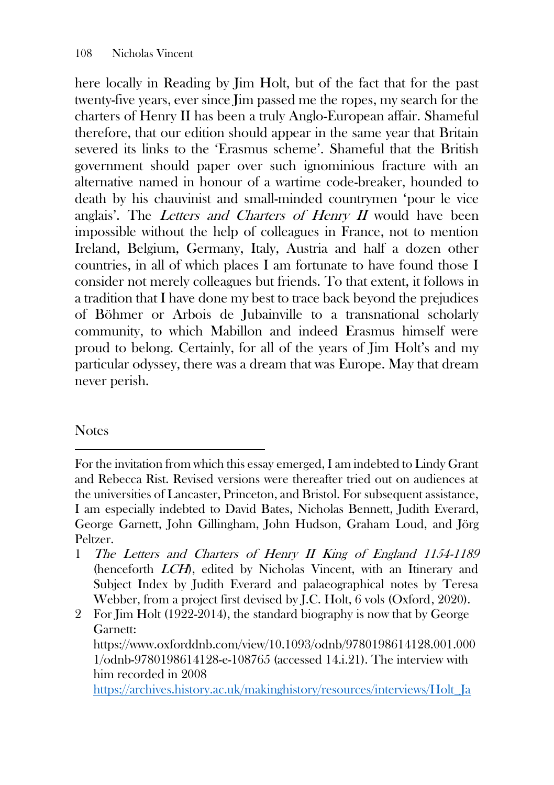here locally in Reading by Jim Holt, but of the fact that for the past twenty-five years, ever since Jim passed me the ropes, my search for the charters of Henry II has been a truly Anglo-European affair. Shameful therefore, that our edition should appear in the same year that Britain severed its links to the 'Erasmus scheme'. Shameful that the British government should paper over such ignominious fracture with an alternative named in honour of a wartime code-breaker, hounded to death by his chauvinist and small-minded countrymen 'pour le vice anglais'. The Letters and Charters of Henry  $I\!I$  would have been impossible without the help of colleagues in France, not to mention Ireland, Belgium, Germany, Italy, Austria and half a dozen other countries, in all of which places I am fortunate to have found those I consider not merely colleagues but friends. To that extent, it follows in a tradition that I have done my best to trace back beyond the prejudices of Böhmer or Arbois de Jubainville to a transnational scholarly community, to which Mabillon and indeed Erasmus himself were proud to belong. Certainly, for all of the years of Jim Holt's and my particular odyssey, there was a dream that was Europe. May that dream never perish.

## **Notes**

2 For Jim Holt (1922-2014), the standard biography is now that by George Garnett: [https://www.oxforddnb.com/view/10.1093/odnb/9780198614128.001.000](https://www.oxforddnb.com/view/10.1093/odnb/9780198614128.001.0001/odnb-9780198614128-e-108765) [1/odnb-9780198614128-e-108765](https://www.oxforddnb.com/view/10.1093/odnb/9780198614128.001.0001/odnb-9780198614128-e-108765) (accessed 14.i.21). The interview with him recorded in 2008

[https://archives.history.ac.uk/makinghistory/resources/interviews/Holt\\_Ja](https://archives.history.ac.uk/makinghistory/resources/interviews/Holt_James.html)

For the invitation from which this essay emerged, I am indebted to Lindy Grant and Rebecca Rist. Revised versions were thereafter tried out on audiences at the universities of Lancaster, Princeton, and Bristol. For subsequent assistance, I am especially indebted to David Bates, Nicholas Bennett, Judith Everard, George Garnett, John Gillingham, John Hudson, Graham Loud, and Jörg Peltzer.

<sup>1</sup> The Letters and Charters of Henry II King of England 1154-1189 (henceforth LCH), edited by Nicholas Vincent, with an Itinerary and Subject Index by Judith Everard and palaeographical notes by Teresa Webber, from a project first devised by J.C. Holt, 6 vols (Oxford, 2020).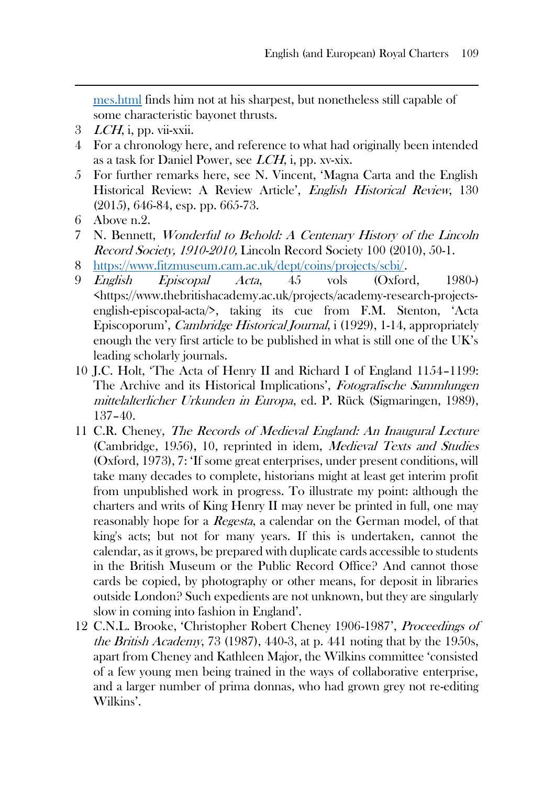[mes.html](https://archives.history.ac.uk/makinghistory/resources/interviews/Holt_James.html) finds him not at his sharpest, but nonetheless still capable of some characteristic bayonet thrusts.

- $3$  *LCH*, i, pp. vii-xxii.
- 4 For a chronology here, and reference to what had originally been intended as a task for Daniel Power, see  $LCH$ , i, pp. xv-xix.
- 5 For further remarks here, see N. Vincent, 'Magna Carta and the English Historical Review: A Review Article', English Historical Review, 130 (2015), 646-84, esp. pp. 665-73.
- 6 Above n.2.
- 7 N. Bennett, Wonderful to Behold: A Centenary History of the Lincoln Record Society, 1910-2010, Lincoln Record Society 100 (2010), 50-1.
- 8 [https://www.fitzmuseum.cam.ac.uk/dept/coins/projects/scbi/.](https://www.fitzmuseum.cam.ac.uk/dept/coins/projects/scbi/)
- 9 English Episcopal Acta, 45 vols (Oxford, 1980-) [<https://www.thebritishacademy.ac.uk/projects/academy-research-projects](https://www.thebritishacademy.ac.uk/projects/academy-research-projects-english-episcopal-acta/)[english-episcopal-acta/](https://www.thebritishacademy.ac.uk/projects/academy-research-projects-english-episcopal-acta/)>, taking its cue from F.M. Stenton, 'Acta Episcoporum', Cambridge Historical Journal, i (1929), 1-14, appropriately enough the very first article to be published in what is still one of the UK's leading scholarly journals.
- 10 J.C. Holt, 'The Acta of Henry II and Richard I of England 1154–1199: The Archive and its Historical Implications', Fotografische Sammlungen mittelalterlicher Urkunden in Europa, ed. P. Rück (Sigmaringen, 1989), 137–40.
- 11 C.R. Cheney, The Records of Medieval England: An Inaugural Lecture (Cambridge, 1956), 10, reprinted in idem, Medieval Texts and Studies (Oxford, 1973), 7: 'If some great enterprises, under present conditions, will take many decades to complete, historians might at least get interim profit from unpublished work in progress. To illustrate my point: although the charters and writs of King Henry II may never be printed in full, one may reasonably hope for a *Regesta*, a calendar on the German model, of that king's acts; but not for many years. If this is undertaken, cannot the calendar, as it grows, be prepared with duplicate cards accessible to students in the British Museum or the Public Record Office? And cannot those cards be copied, by photography or other means, for deposit in libraries outside London? Such expedients are not unknown, but they are singularly slow in coming into fashion in England'.
- 12 C.N.L. Brooke, 'Christopher Robert Cheney 1906-1987', Proceedings of the British Academy, 73 (1987), 440-3, at p. 441 noting that by the 1950s, apart from Cheney and Kathleen Major, the Wilkins committee 'consisted of a few young men being trained in the ways of collaborative enterprise, and a larger number of prima donnas, who had grown grey not re-editing Wilkins'.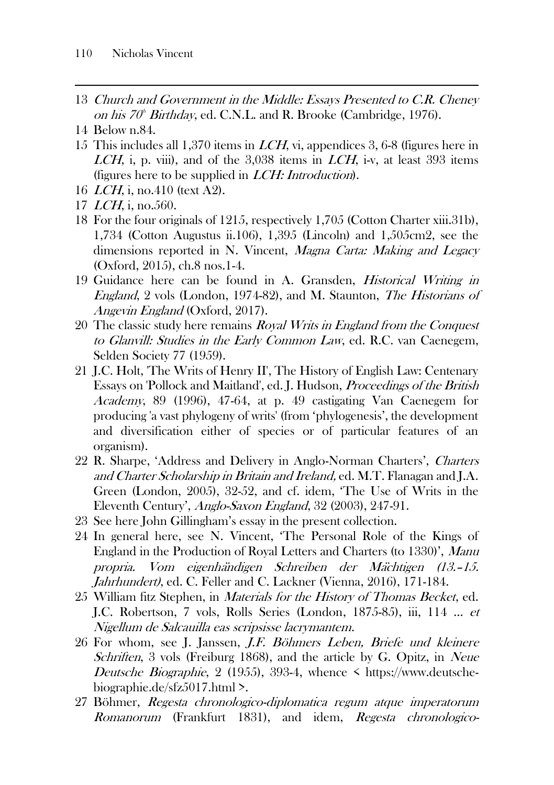- 13 Church and Government in the Middle: Essays Presented to C.R. Cheney on his  $70^{\circ}$  Birthday, ed. C.N.L. and R. Brooke (Cambridge, 1976).
- 14 Below n.84.
- 15 This includes all 1,370 items in LCH, vi, appendices 3, 6-8 (figures here in LCH, i, p. viii), and of the  $3,038$  items in LCH, i-v, at least 393 items (figures here to be supplied in LCH: Introduction).
- 16 LCH, i, no.410 (text A2).
- 17 LCH, i, no.560.
- 18 For the four originals of 1215, respectively 1,705 (Cotton Charter xiii.31b), 1,734 (Cotton Augustus ii.106), 1,395 (Lincoln) and 1,505cm2, see the dimensions reported in N. Vincent, Magna Carta: Making and Legacy (Oxford, 2015), ch.8 nos.1-4.
- 19 Guidance here can be found in A. Gransden, Historical Writing in England, 2 vols (London, 1974-82), and M. Staunton, The Historians of Angevin England (Oxford, 2017).
- 20 The classic study here remains *Royal Writs in England from the Conquest* to Glanvill: Studies in the Early Common Law, ed. R.C. van Caenegem, Selden Society 77 (1959).
- 21 J.C. Holt, 'The Writs of Henry II', The History of English Law: Centenary Essays on 'Pollock and Maitland', ed. J. Hudson, Proceedings of the British Academy, 89 (1996), 47-64, at p. 49 castigating Van Caenegem for producing 'a vast phylogeny of writs' (from 'phylogenesis', the development and diversification either of species or of particular features of an organism).
- 22 R. Sharpe, 'Address and Delivery in Anglo-Norman Charters', Charters and Charter Scholarship in Britain and Ireland, ed. M.T. Flanagan and J.A. Green (London, 2005), 32-52, and cf. idem, 'The Use of Writs in the Eleventh Century', Anglo-Saxon England, 32 (2003), 247-91.
- 23 See here John Gillingham's essay in the present collection.
- 24 In general here, see N. Vincent, 'The Personal Role of the Kings of England in the Production of Royal Letters and Charters (to 1330)', Manu propria. Vom eigenha*̈*ndigen Schreiben der Ma*̈*chtigen (13.–15. Jahrhundert), ed. C. Feller and C. Lackner (Vienna, 2016), 171-184.
- 25 William fitz Stephen, in Materials for the History of Thomas Becket, ed. J.C. Robertson, 7 vols, Rolls Series (London, 1875-85), iii, 114 … et Nigellum de Salcauilla eas scripsisse lacrymantem.
- 26 For whom, see J. Janssen, J.F. Böhmers Leben, Briefe und kleinere Schriften, 3 vols (Freiburg 1868), and the article by G. Opitz, in Neue Deutsche Biographie, 2 (1955), 393-4, whence  $\leq$  https://www.deutschebiographie.de/sfz5017.html >.
- 27 Böhmer, Regesta chronologico-diplomatica regum atque imperatorum Romanorum (Frankfurt 1831), and idem, Regesta chronologico-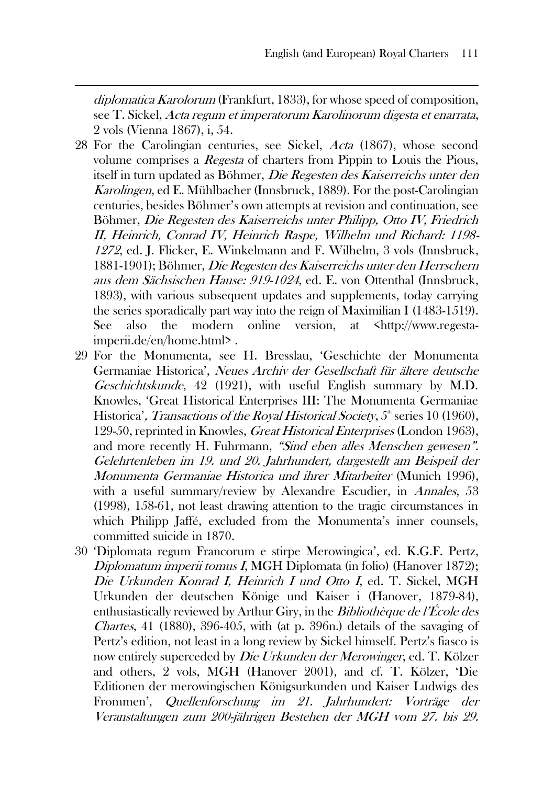diplomatica Karolorum (Frankfurt, 1833), for whose speed of composition, see T. Sickel, Acta regum et imperatorum Karolinorum digesta et enarrata, 2 vols (Vienna 1867), i, 54.

- 28 For the Carolingian centuries, see Sickel, Acta (1867), whose second volume comprises a Regesta of charters from Pippin to Louis the Pious, itself in turn updated as Böhmer, Die Regesten des Kaiserreichs unter den Karolingen, ed E. Mühlbacher (Innsbruck, 1889). For the post-Carolingian centuries, besides Böhmer's own attempts at revision and continuation, see Böhmer, Die Regesten des Kaiserreichs unter Philipp, Otto IV, Friedrich II, Heinrich, Conrad IV, Heinrich Raspe, Wilhelm und Richard: 1198- <sup>1272</sup>, ed. J. Flicker, E. Winkelmann and F. Wilhelm, 3 vols (Innsbruck, 1881-1901); Böhmer, Die Regesten des Kaiserreichs unter den Herrschern aus dem Sächsischen Hause: 919-1024, ed. E. von Ottenthal (Innsbruck, 1893), with various subsequent updates and supplements, today carrying the series sporadically part way into the reign of Maximilian I (1483-1519). See also the modern online version, at <http://www.regestaimperii.de/en/home.html> .
- 29 For the Monumenta, see H. Bresslau, 'Geschichte der Monumenta Germaniae Historica', Neues Archiv der Gesellschaft für ältere deutsche Geschichtskunde, 42 (1921), with useful English summary by M.D. Knowles, 'Great Historical Enterprises III: The Monumenta Germaniae Historica', Transactions of the Royal Historical Society,  $5<sup>th</sup>$  series 10 (1960), 129-50, reprinted in Knowles, Great Historical Enterprises (London 1963), and more recently H. Fuhrmann, "Sind eben alles Menschen gewesen". Gelehrtenleben im 19. und 20. Jahrhundert, dargestellt am Beispeil der Monumenta Germaniae Historica und ihrer Mitarbeiter (Munich 1996), with a useful summary/review by Alexandre Escudier, in *Annales*, 53 (1998), 158-61, not least drawing attention to the tragic circumstances in which Philipp Jaffé, excluded from the Monumenta's inner counsels, committed suicide in 1870.
- 30 'Diplomata regum Francorum e stirpe Merowingica', ed. K.G.F. Pertz, Diplomatum imperii tomus I, MGH Diplomata (in folio) (Hanover 1872); Die Urkunden Konrad I, Heinrich I und Otto I, ed. T. Sickel, MGH Urkunden der deutschen Könige und Kaiser i (Hanover, 1879-84), enthusiastically reviewed by Arthur Giry, in the *Bibliothèque de l'École des Chartes*, 41 (1880), 396-405, with (at p. 396n.) details of the savaging of Pertz's edition, not least in a long review by Sickel himself. Pertz's fiasco is now entirely superceded by Die Urkunden der Merowinger, ed. T. Kölzer and others, 2 vols, MGH (Hanover 2001), and cf. T. Kölzer, 'Die Editionen der merowingischen Königsurkunden und Kaiser Ludwigs des Frommen', Quellenforschung im 21. Jahrhundert: Vorträge der Veranstaltungen zum 200-jährigen Bestehen der MGH vom 27. bis 29.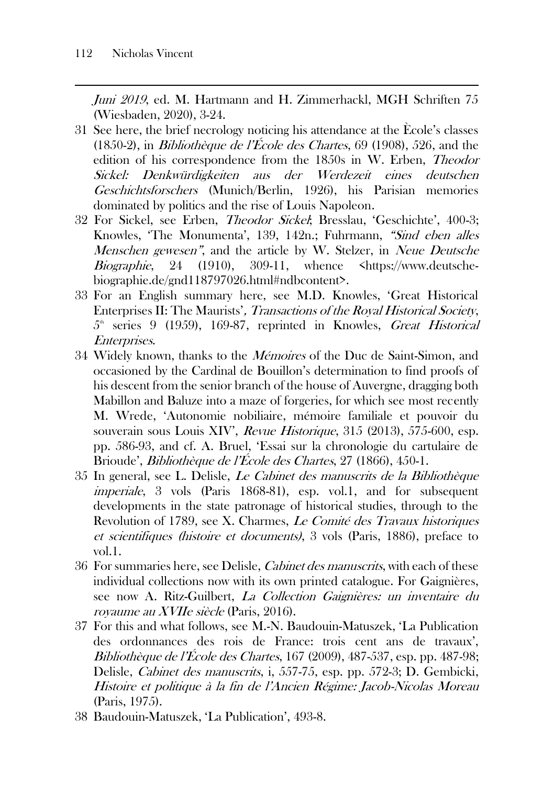Juni 2019, ed. M. Hartmann and H. Zimmerhackl, MGH Schriften 75 (Wiesbaden, 2020), 3-24.

- 31 See here, the brief necrology noticing his attendance at the Ècole's classes (1850-2), in *Bibliothèque de l'École des Chartes*, 69 (1908), 526, and the edition of his correspondence from the 1850s in W. Erben, Theodor Sickel: Denkwürdigkeiten aus der Werdezeit eines deutschen Geschichtsforschers (Munich/Berlin, 1926), his Parisian memories dominated by politics and the rise of Louis Napoleon.
- 32 For Sickel, see Erben, Theodor Sickel; Bresslau, 'Geschichte', 400-3; Knowles, 'The Monumenta', 139, 142n.; Fuhrmann, "Sind eben alles Menschen gewesen", and the article by W. Stelzer, in Neue Deutsche Biographie, 24 (1910), 309-11, whence [<https://www.deutsche](https://www.deutsche-biographie.de/gnd118797026.html#ndbcontent)[biographie.de/gnd118797026.html#ndbcontent>](https://www.deutsche-biographie.de/gnd118797026.html#ndbcontent).
- 33 For an English summary here, see M.D. Knowles, 'Great Historical Enterprises II: The Maurists', Transactions of the Royal Historical Society,  $5<sup>th</sup>$  series 9 (1959), 169-87, reprinted in Knowles, *Great Historical* Enterprises.
- 34 Widely known, thanks to the *Mémoires* of the Duc de Saint-Simon, and occasioned by the Cardinal de Bouillon's determination to find proofs of his descent from the senior branch of the house of Auvergne, dragging both Mabillon and Baluze into a maze of forgeries, for which see most recently M. Wrede, 'Autonomie nobiliaire, mémoire familiale et pouvoir du souverain sous Louis XIV', Revue Historique, 315 (2013), 575-600, esp. pp. 586-93, and cf. A. Bruel, 'Essai sur la chronologie du cartulaire de Brioude', *Bibliothèque de l'École des Chartes*, 27 (1866), 450-1.
- 35 In general, see L. Delisle, Le Cabinet des manuscrits de la Bibliothèque imperiale, 3 vols (Paris 1868-81), esp. vol.1, and for subsequent developments in the state patronage of historical studies, through to the Revolution of 1789, see X. Charmes, Le Comité des Travaux historiques et scientifiques (histoire et documents), 3 vols (Paris, 1886), preface to vol.1.
- 36 For summaries here, see Delisle, Cabinet des manuscrits, with each of these individual collections now with its own printed catalogue. For Gaignières, see now A. Ritz-Guilbert, La Collection Gaignières: un inventaire du royaume au XVIIe siècle (Paris, 2016).
- 37 For this and what follows, see M.-N. Baudouin-Matuszek, 'La Publication des ordonnances des rois de France: trois cent ans de travaux', Bibliothèque de l'École des Chartes, 167 (2009), 487-537, esp. pp. 487-98; Delisle, Cabinet des manuscrits, i, 557-75, esp. pp. 572-3; D. Gembicki, Histoire et politique à la fin de l'Ancien Régime: Jacob-Nicolas Moreau (Paris, 1975).
- 38 Baudouin-Matuszek, 'La Publication', 493-8.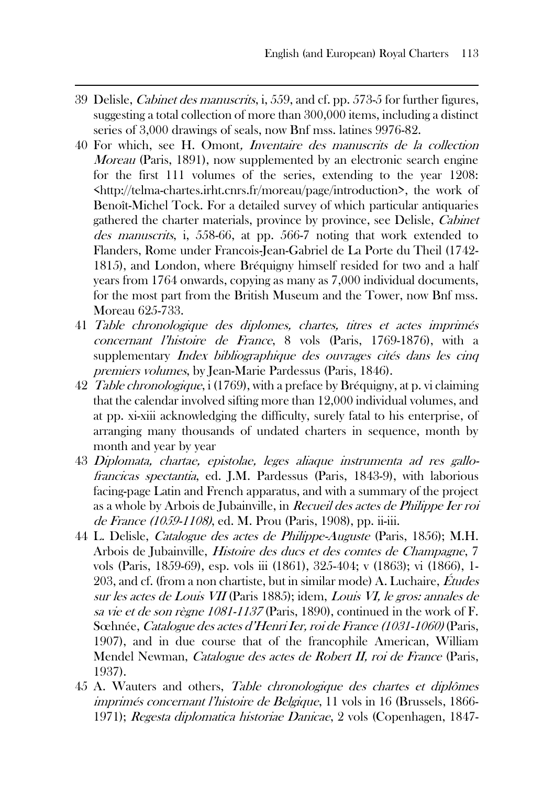- 39 Delisle, Cabinet des manuscrits, i, 559, and cf. pp. 573-5 for further figures, suggesting a total collection of more than 300,000 items, including a distinct series of 3,000 drawings of seals, now Bnf mss. latines 9976-82.
- 40 For which, see H. Omont, Inventaire des manuscrits de la collection Moreau (Paris, 1891), now supplemented by an electronic search engine for the first 111 volumes of the series, extending to the year 1208: [<http://telma-chartes.irht.cnrs.fr/moreau/page/introduction>](http://telma-chartes.irht.cnrs.fr/moreau/page/introduction), the work of Benoît-Michel Tock. For a detailed survey of which particular antiquaries gathered the charter materials, province by province, see Delisle, Cabinet des manuscrits, i, 558-66, at pp. 566-7 noting that work extended to Flanders, Rome under Francois-Jean-Gabriel de La Porte du Theil (1742- 1815), and London, where Bréquigny himself resided for two and a half years from 1764 onwards, copying as many as 7,000 individual documents, for the most part from the British Museum and the Tower, now Bnf mss. Moreau 625-733.
- 41 Table chronologique des diplomes, chartes, titres et actes imprimés concernant l'histoire de France, 8 vols (Paris, 1769-1876), with a supplementary *Index bibliographique des ouvrages cités dans les cinq* premiers volumes, by Jean-Marie Pardessus (Paris, 1846).
- 42 *Table chronologique,* i (1769), with a preface by Bréquigny, at p. vi claiming that the calendar involved sifting more than 12,000 individual volumes, and at pp. xi-xiii acknowledging the difficulty, surely fatal to his enterprise, of arranging many thousands of undated charters in sequence, month by month and year by year
- 43 Diplomata, chartae, epistolae, leges aliaque instrumenta ad res gallofrancicas spectantia, ed. J.M. Pardessus (Paris, 1843-9), with laborious facing-page Latin and French apparatus, and with a summary of the project as a whole by Arbois de Jubainville, in Recueil des actes de Philippe Ier roi de France (1059-1108), ed. M. Prou (Paris, 1908), pp. ii-iii.
- 44 L. Delisle, Catalogue des actes de Philippe-Auguste (Paris, 1856); M.H. Arbois de Jubainville, Histoire des ducs et des comtes de Champagne, 7 vols (Paris, 1859-69), esp. vols iii (1861), 325-404; v (1863); vi (1866), 1- 203, and cf. (from a non chartiste, but in similar mode) A. Luchaire, Études sur les actes de Louis VII (Paris 1885); idem, Louis VI, le gros: annales de sa vie et de son règne 1081-1137 (Paris, 1890), continued in the work of F. Sœhnée, Catalogue des actes d'Henri Ier, roi de France (1031-1060) (Paris, 1907), and in due course that of the francophile American, William Mendel Newman, *Catalogue des actes de Robert II, roi de France* (Paris, 1937).
- 45 A. Wauters and others, Table chronologique des chartes et diplômes imprimés concernant l'histoire de Belgique, 11 vols in 16 (Brussels, 1866- 1971); Regesta diplomatica historiae Danicae, 2 vols (Copenhagen, 1847-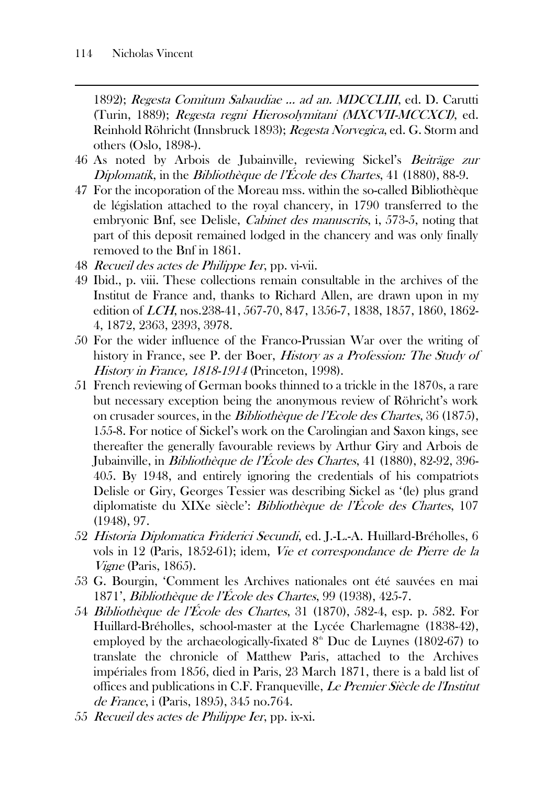1892); Regesta Comitum Sabaudiae ... ad an. MDCCLIII, ed. D. Carutti (Turin, 1889); Regesta regni Hierosolymitani (MXCVII-MCCXCI), ed. Reinhold Röhricht (Innsbruck 1893); Regesta Norvegica, ed. G. Storm and others (Oslo, 1898-).

- 46 As noted by Arbois de Jubainville, reviewing Sickel's Beiträge zur Diplomatik, in the Bibliothèque de l'École des Chartes, 41 (1880), 88-9.
- 47 For the incoporation of the Moreau mss. within the so-called Bibliothèque de législation attached to the royal chancery, in 1790 transferred to the embryonic Bnf, see Delisle, *Cabinet des manuscrits*, i, 573-5, noting that part of this deposit remained lodged in the chancery and was only finally removed to the Bnf in 1861.
- 48 Recueil des actes de Philippe Ier, pp. vi-vii.
- 49 Ibid., p. viii. These collections remain consultable in the archives of the Institut de France and, thanks to Richard Allen, are drawn upon in my edition of LCH, nos.238-41, 567-70, 847, 1356-7, 1838, 1857, 1860, 1862- 4, 1872, 2363, 2393, 3978.
- 50 For the wider influence of the Franco-Prussian War over the writing of history in France, see P. der Boer, *History as a Profession: The Study of* History in France, 1818-1914 (Princeton, 1998).
- 51 French reviewing of German books thinned to a trickle in the 1870s, a rare but necessary exception being the anonymous review of Röhricht's work on crusader sources, in the Bibliothèque de l'Ecole des Chartes, 36 (1875), 155-8. For notice of Sickel's work on the Carolingian and Saxon kings, see thereafter the generally favourable reviews by Arthur Giry and Arbois de Jubainville, in *Bibliothèque de l'École des Chartes*, 41 (1880), 82-92, 396-405. By 1948, and entirely ignoring the credentials of his compatriots Delisle or Giry, Georges Tessier was describing Sickel as '(le) plus grand diplomatiste du XIXe siècle': Bibliothèque de l'École des Chartes, 107 (1948), 97.
- 52 Historia Diplomatica Friderici Secundi, ed. J.-L.-A. Huillard-Bréholles, 6 vols in 12 (Paris, 1852-61); idem, Vie et correspondance de Pierre de la Vigne (Paris, 1865).
- 53 G. Bourgin, 'Comment les Archives nationales ont été sauvées en mai 1871', Bibliothèque de l'École des Chartes, 99 (1938), 425-7.
- 54 Bibliothèque de l'École des Chartes, 31 (1870), 582-4, esp. p. 582. For Huillard-Bréholles, school-master at the Lycée Charlemagne (1838-42), employed by the archaeologically-fixated  $8<sup>th</sup>$  Duc de Luynes (1802-67) to translate the chronicle of Matthew Paris, attached to the Archives impériales from 1856, died in Paris, 23 March 1871, there is a bald list of offices and publications in C.F. Franqueville, Le Premier Siècle de l'Institut de France, i (Paris, 1895), 345 no.764.
- 55 Recueil des actes de Philippe Ier, pp. ix-xi.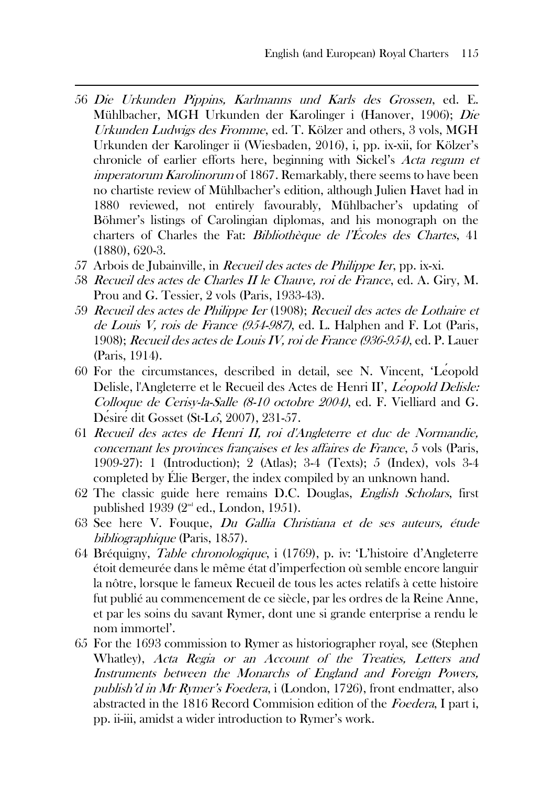- 56 Die Urkunden Pippins, Karlmanns und Karls des Grossen, ed. E. Mühlbacher, MGH Urkunden der Karolinger i (Hanover, 1906); Die Urkunden Ludwigs des Fromme, ed. T. Kölzer and others, 3 vols, MGH Urkunden der Karolinger ii (Wiesbaden, 2016), i, pp. ix-xii, for Kölzer's chronicle of earlier efforts here, beginning with Sickel's Acta regum et *imperatorum Karolinorum* of 1867. Remarkably, there seems to have been no chartiste review of Mühlbacher's edition, although Julien Havet had in 1880 reviewed, not entirely favourably, Mühlbacher's updating of Böhmer's listings of Carolingian diplomas, and his monograph on the charters of Charles the Fat: *Bibliothèque de l'Écoles des Chartes*, 41 (1880), 620-3.
- 57 Arbois de Jubainville, in Recueil des actes de Philippe Ier, pp. ix-xi.
- 58 Recueil des actes de Charles II le Chauve, roi de France, ed. A. Giry, M. Prou and G. Tessier, 2 vols (Paris, 1933-43).
- 59 Recueil des actes de Philippe Ier (1908); Recueil des actes de Lothaire et de Louis V, rois de France (954-987), ed. L. Halphen and F. Lot (Paris, 1908); Recueil des actes de Louis IV, roi de France (936-954), ed. P. Lauer (Paris, 1914).
- 60 For the circumstances, described in detail, see N. Vincent, 'Léopold Delisle, l'Angleterre et le Recueil des Actes de Henri II', *Léopold Delisle:* Colloque de Cerisy-la-Salle (8-10 octobre 2004), ed. F. Vielliard and G. Désirédit Gosset (St-Lô, 2007), 231-57.
- 61 Recueil des actes de Henri II, roi d'Angleterre et duc de Normandie, concernant les provinces françaises et les affaires de France, 5 vols (Paris, 1909-27): 1 (Introduction); 2 (Atlas); 3-4 (Texts); 5 (Index), vols 3-4 completed by Élie Berger, the index compiled by an unknown hand.
- 62 The classic guide here remains D.C. Douglas, English Scholars, first published 1939 ( $2<sup>nd</sup>$  ed., London, 1951).
- 63 See here V. Fouque, Du Gallia Christiana et de ses auteurs, étude bibliographique (Paris, 1857).
- 64 Bréquigny, Table chronologique, i (1769), p. iv: 'L'histoire d'Angleterre étoit demeurée dans le même état d'imperfection où semble encore languir la nôtre, lorsque le fameux Recueil de tous les actes relatifs à cette histoire fut publié au commencement de ce siècle, par les ordres de la Reine Anne, et par les soins du savant Rymer, dont une si grande enterprise a rendu le nom immortel'.
- 65 For the 1693 commission to Rymer as historiographer royal, see (Stephen Whatley), Acta Regia or an Account of the Treaties, Letters and Instruments between the Monarchs of England and Foreign Powers, publish'd in Mr Rymer's Foedera, i (London, 1726), front endmatter, also abstracted in the 1816 Record Commision edition of the Foedera, I part i, pp. ii-iii, amidst a wider introduction to Rymer's work.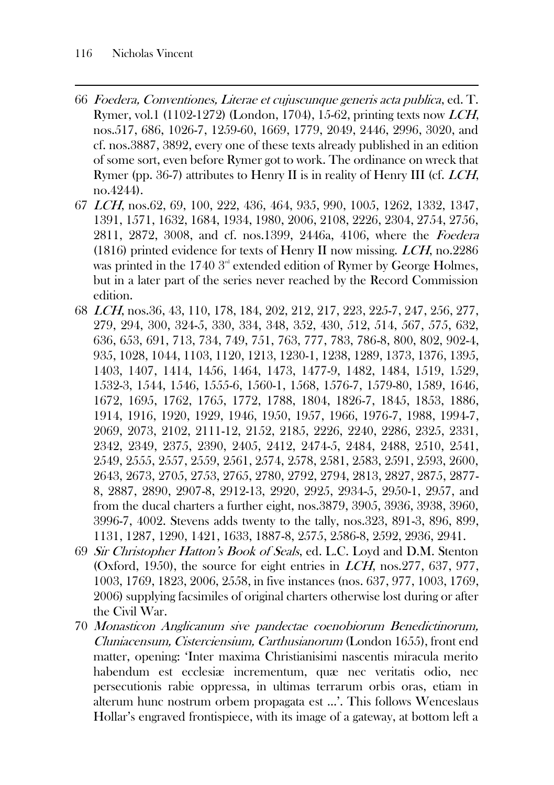- 66 Foedera, Conventiones, Literae et cujuscunque generis acta publica, ed. T. Rymer, vol.1 (1102-1272) (London, 1704), 15-62, printing texts now LCH, nos.517, 686, 1026-7, 1259-60, 1669, 1779, 2049, 2446, 2996, 3020, and cf. nos.3887, 3892, every one of these texts already published in an edition of some sort, even before Rymer got to work. The ordinance on wreck that Rymer (pp. 36-7) attributes to Henry II is in reality of Henry III (cf. *LCH*, no.4244).
- 67 LCH, nos.62, 69, 100, 222, 436, 464, 935, 990, 1005, 1262, 1332, 1347, 1391, 1571, 1632, 1684, 1934, 1980, 2006, 2108, 2226, 2304, 2754, 2756, 2811, 2872, 3008, and cf. nos.1399, 2446a, 4106, where the Foedera (1816) printed evidence for texts of Henry II now missing. LCH, no.2286 was printed in the 1740  $3<sup>d</sup>$  extended edition of Rymer by George Holmes, but in a later part of the series never reached by the Record Commission edition.
- 68 LCH, nos.36, 43, 110, 178, 184, 202, 212, 217, 223, 225-7, 247, 256, 277, 279, 294, 300, 324-5, 330, 334, 348, 352, 430, 512, 514, 567, 575, 632, 636, 653, 691, 713, 734, 749, 751, 763, 777, 783, 786-8, 800, 802, 902-4, 935, 1028, 1044, 1103, 1120, 1213, 1230-1, 1238, 1289, 1373, 1376, 1395, 1403, 1407, 1414, 1456, 1464, 1473, 1477-9, 1482, 1484, 1519, 1529, 1532-3, 1544, 1546, 1555-6, 1560-1, 1568, 1576-7, 1579-80, 1589, 1646, 1672, 1695, 1762, 1765, 1772, 1788, 1804, 1826-7, 1845, 1853, 1886, 1914, 1916, 1920, 1929, 1946, 1950, 1957, 1966, 1976-7, 1988, 1994-7, 2069, 2073, 2102, 2111-12, 2152, 2185, 2226, 2240, 2286, 2325, 2331, 2342, 2349, 2375, 2390, 2405, 2412, 2474-5, 2484, 2488, 2510, 2541, 2549, 2555, 2557, 2559, 2561, 2574, 2578, 2581, 2583, 2591, 2593, 2600, 2643, 2673, 2705, 2753, 2765, 2780, 2792, 2794, 2813, 2827, 2875, 2877- 8, 2887, 2890, 2907-8, 2912-13, 2920, 2925, 2934-5, 2950-1, 2957, and from the ducal charters a further eight, nos.3879, 3905, 3936, 3938, 3960, 3996-7, 4002. Stevens adds twenty to the tally, nos.323, 891-3, 896, 899, 1131, 1287, 1290, 1421, 1633, 1887-8, 2575, 2586-8, 2592, 2936, 2941.
- 69 Sir Christopher Hatton's Book of Seals, ed. L.C. Loyd and D.M. Stenton (Oxford, 1950), the source for eight entries in LCH, nos.277, 637, 977, 1003, 1769, 1823, 2006, 2558, in five instances (nos. 637, 977, 1003, 1769, 2006) supplying facsimiles of original charters otherwise lost during or after the Civil War.
- 70 Monasticon Anglicanum sive pandectae coenobiorum Benedictinorum, Cluniacensum, Cisterciensium, Carthusianorum (London 1655), front end matter, opening: 'Inter maxima Christianisimi nascentis miracula merito habendum est ecclesiæ incrementum, quæ nec veritatis odio, nec persecutionis rabie oppressa, in ultimas terrarum orbis oras, etiam in alterum hunc nostrum orbem propagata est …'. This follows Wenceslaus Hollar's engraved frontispiece, with its image of a gateway, at bottom left a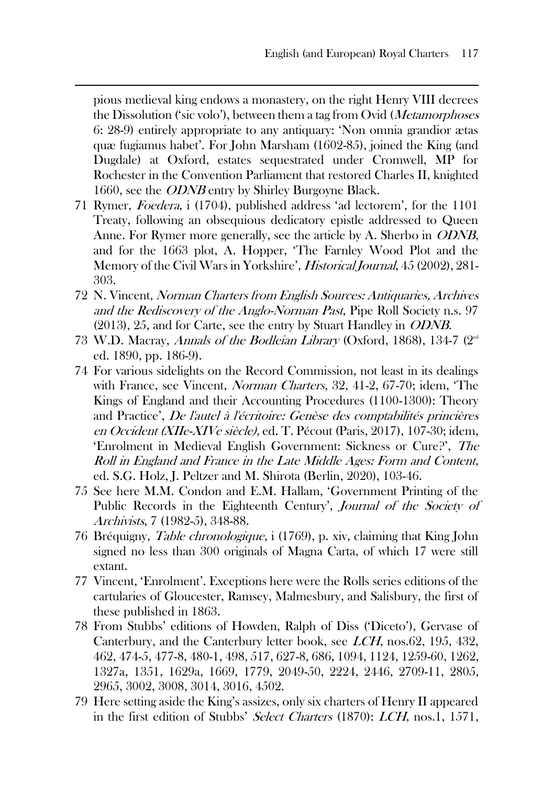pious medieval king endows a monastery, on the right Henry VIII decrees the Dissolution ('sic volo'), between them a tag from Ovid (Metamorphoses 6: 28-9) entirely appropriate to any antiquary: 'Non omnia grandior ætas quæ fugiamus habet'. For John Marsham (1602-85), joined the King (and Dugdale) at Oxford, estates sequestrated under Cromwell, MP for Rochester in the Convention Parliament that restored Charles II, knighted 1660, see the ODNB entry by Shirley Burgoyne Black.

- 71 Rymer, Foedera, i (1704), published address 'ad lectorem', for the 1101 Treaty, following an obsequious dedicatory epistle addressed to Queen Anne. For Rymer more generally, see the article by A. Sherbo in ODNB, and for the 1663 plot, A. Hopper, 'The Farnley Wood Plot and the Memory of the Civil Wars in Yorkshire', Historical Journal, 45 (2002), 281-303.
- 72 N. Vincent, Norman Charters from English Sources: Antiquaries, Archives and the Rediscovery of the Anglo-Norman Past, Pipe Roll Society n.s. 97 (2013), 25, and for Carte, see the entry by Stuart Handley in ODNB.
- 73 W.D. Macray, Annals of the Bodleian Library (Oxford, 1868), 134-7 ( $2<sup>nd</sup>$ ed. 1890, pp. 186-9).
- 74 For various sidelights on the Record Commission, not least in its dealings with France, see Vincent, Norman Charters, 32, 41-2, 67-70; idem, 'The Kings of England and their Accounting Procedures (1100-1300): Theory and Practice', De l'autel à l'écritoire: Genèse des comptabilités princières en Occident (XIIe-XIVe siècle), ed. T. Pécout (Paris, 2017), 107-30; idem, 'Enrolment in Medieval English Government: Sickness or Cure?', The Roll in England and France in the Late Middle Ages: Form and Content, ed. S.G. Holz, J. Peltzer and M. Shirota (Berlin, 2020), 103-46.
- 75 See here M.M. Condon and E.M. Hallam, 'Government Printing of the Public Records in the Eighteenth Century', Journal of the Society of Archivists, 7 (1982-5), 348-88.
- 76 Bréquigny, Table chronologique, i (1769), p. xiv, claiming that King John signed no less than 300 originals of Magna Carta, of which 17 were still extant.
- 77 Vincent, 'Enrolment'. Exceptions here were the Rolls series editions of the cartularies of Gloucester, Ramsey, Malmesbury, and Salisbury, the first of these published in 1863.
- 78 From Stubbs' editions of Howden, Ralph of Diss ('Diceto'), Gervase of Canterbury, and the Canterbury letter book, see LCH, nos.62, 195, 432, 462, 474-5, 477-8, 480-1, 498, 517, 627-8, 686, 1094, 1124, 1259-60, 1262, 1327a, 1351, 1629a, 1669, 1779, 2049-50, 2224, 2446, 2709-11, 2805, 2965, 3002, 3008, 3014, 3016, 4502.
- 79 Here setting aside the King's assizes, only six charters of Henry II appeared in the first edition of Stubbs' Select Charters (1870): LCH, nos.1, 1571,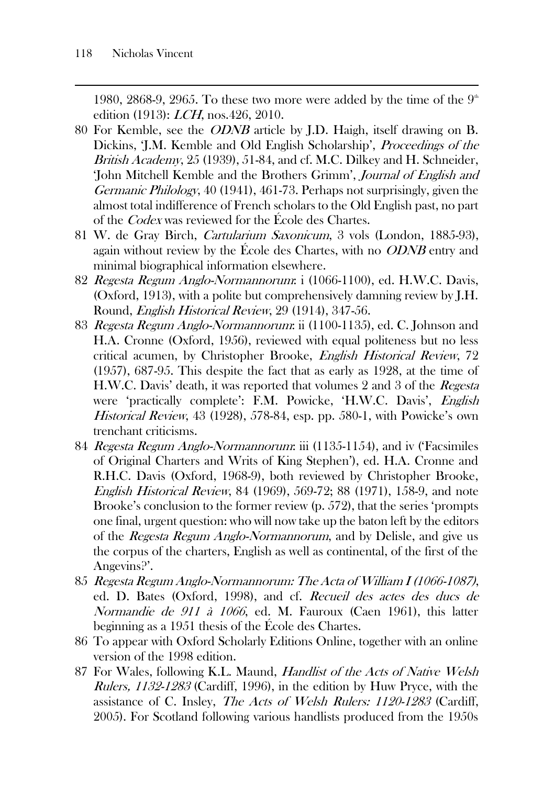1980, 2868-9, 2965. To these two more were added by the time of the  $9<sup>th</sup>$ edition (1913): LCH, nos.426, 2010.

- 80 For Kemble, see the ODNB article by J.D. Haigh, itself drawing on B. Dickins, 'J.M. Kemble and Old English Scholarship', Proceedings of the British Academy, 25 (1939), 51-84, and cf. M.C. Dilkey and H. Schneider, 'John Mitchell Kemble and the Brothers Grimm', Journal of English and Germanic Philology, 40 (1941), 461-73. Perhaps not surprisingly, given the almost total indifference of French scholars to the Old English past, no part of the *Codex* was reviewed for the École des Chartes.
- 81 W. de Gray Birch, Cartularium Saxonicum, 3 vols (London, 1885-93), again without review by the École des Chartes, with no *ODNB* entry and minimal biographical information elsewhere.
- 82 Regesta Regum Anglo-Normannorum: i (1066-1100), ed. H.W.C. Davis, (Oxford, 1913), with a polite but comprehensively damning review by J.H. Round, English Historical Review, 29 (1914), 347-56.
- 83 Regesta Regum Anglo-Normannorum: ii (1100-1135), ed. C. Johnson and H.A. Cronne (Oxford, 1956), reviewed with equal politeness but no less critical acumen, by Christopher Brooke, English Historical Review, 72 (1957), 687-95. This despite the fact that as early as 1928, at the time of H.W.C. Davis' death, it was reported that volumes 2 and 3 of the Regesta were 'practically complete': F.M. Powicke, 'H.W.C. Davis', English Historical Review, 43 (1928), 578-84, esp. pp. 580-1, with Powicke's own trenchant criticisms.
- 84 Regesta Regum Anglo-Normannorum: iii (1135-1154), and iv ('Facsimiles of Original Charters and Writs of King Stephen'), ed. H.A. Cronne and R.H.C. Davis (Oxford, 1968-9), both reviewed by Christopher Brooke, English Historical Review, 84 (1969), 569-72; 88 (1971), 158-9, and note Brooke's conclusion to the former review (p. 572), that the series 'prompts one final, urgent question: who will now take up the baton left by the editors of the Regesta Regum Anglo-Normannorum, and by Delisle, and give us the corpus of the charters, English as well as continental, of the first of the Angevins?'.
- 85 Regesta Regum Anglo-Normannorum: The Acta of William I (1066-1087), ed. D. Bates (Oxford, 1998), and cf. Recueil des actes des ducs de Normandie de 911 à 1066, ed. M. Fauroux (Caen 1961), this latter beginning as a 1951 thesis of the École des Chartes.
- 86 To appear with Oxford Scholarly Editions Online, together with an online version of the 1998 edition.
- 87 For Wales, following K.L. Maund, Handlist of the Acts of Native Welsh Rulers, 1132-1283 (Cardiff, 1996), in the edition by Huw Pryce, with the assistance of C. Insley, The Acts of Welsh Rulers: 1120-1283 (Cardiff, 2005). For Scotland following various handlists produced from the 1950s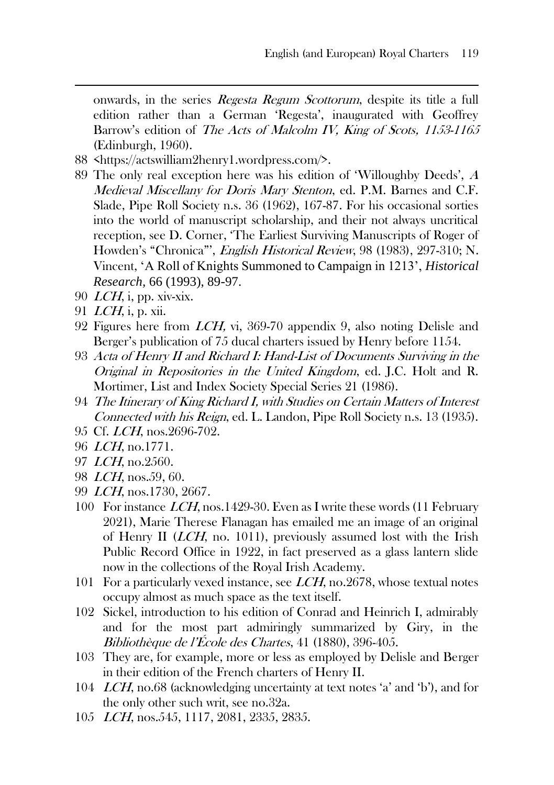onwards, in the series Regesta Regum Scottorum, despite its title a full edition rather than a German 'Regesta', inaugurated with Geoffrey Barrow's edition of The Acts of Malcolm IV, King of Scots, 1153-1165 (Edinburgh, 1960).

- 88 <https://actswilliam2henry1.wordpress.com/>.
- 89 The only real exception here was his edition of 'Willoughby Deeds', <sup>A</sup> Medieval Miscellany for Doris Mary Stenton, ed. P.M. Barnes and C.F. Slade, Pipe Roll Society n.s. 36 (1962), 167-87. For his occasional sorties into the world of manuscript scholarship, and their not always uncritical reception, see D. Corner, 'The Earliest Surviving Manuscripts of Roger of Howden's "Chronica"', English Historical Review, 98 (1983), 297-310; N. Vincent, 'A Roll of Knights Summoned to Campaign in 1213', *Historical Research,* 66 (1993), 89-97.
- 90  $LCH$ , i, pp. xiv-xix.
- 91 LCH, i, p. xii.
- 92 Figures here from LCH, vi, 369-70 appendix 9, also noting Delisle and Berger's publication of 75 ducal charters issued by Henry before 1154.
- 93 Acta of Henry II and Richard I: Hand-List of Documents Surviving in the Original in Repositories in the United Kingdom, ed. J.C. Holt and R. Mortimer, List and Index Society Special Series 21 (1986).
- 94 The Itinerary of King Richard I, with Studies on Certain Matters of Interest Connected with his Reign, ed. L. Landon, Pipe Roll Society n.s. 13 (1935).
- 95 Cf. LCH, nos.2696-702.
- 96 LCH, no.1771.
- 97 LCH, no.2560.
- 98 LCH, nos.59, 60.
- 99 LCH, nos.1730, 2667.
- 100 For instance LCH, nos.1429-30. Even as I write these words (11 February 2021), Marie Therese Flanagan has emailed me an image of an original of Henry II (LCH, no. 1011), previously assumed lost with the Irish Public Record Office in 1922, in fact preserved as a glass lantern slide now in the collections of the Royal Irish Academy.
- 101 For a particularly vexed instance, see LCH, no.2678, whose textual notes occupy almost as much space as the text itself.
- 102 Sickel, introduction to his edition of Conrad and Heinrich I, admirably and for the most part admiringly summarized by Giry, in the Bibliothèque de l'École des Chartes, 41 (1880), 396-405.
- 103 They are, for example, more or less as employed by Delisle and Berger in their edition of the French charters of Henry II.
- 104 LCH, no.68 (acknowledging uncertainty at text notes 'a' and 'b'), and for the only other such writ, see no.32a.
- 105 LCH, nos.545, 1117, 2081, 2335, 2835.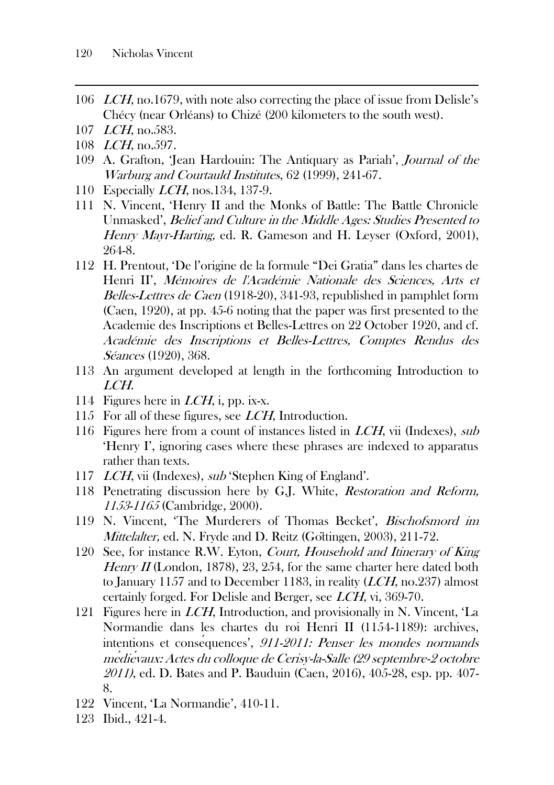- 106 LCH, no.1679, with note also correcting the place of issue from Delisle's Chécy (near Orléans) to Chizé (200 kilometers to the south west).
- 107 *LCH*, no.583.
- 108 LCH, no.597.
- 109 A. Grafton, 'Jean Hardouin: The Antiquary as Pariah', Journal of the Warburg and Courtauld Institutes, 62 (1999), 241-67.
- 110 Especially LCH, nos.134, 137-9.
- 111 N. Vincent, 'Henry II and the Monks of Battle: The Battle Chronicle Unmasked', Belief and Culture in the Middle Ages: Studies Presented to Henry Mayr-Harting, ed. R. Gameson and H. Leyser (Oxford, 2001), 264-8.
- 112 H. Prentout, 'De l'origine de la formule "Dei Gratia" dans les chartes de Henri II', Mémoires de l'Académie Nationale des Sciences, Arts et Belles-Lettres de Caen (1918-20), 341-93, republished in pamphlet form (Caen, 1920), at pp. 45-6 noting that the paper was first presented to the Academie des Inscriptions et Belles-Lettres on 22 October 1920, and cf. Académie des Inscriptions et Belles-Lettres, Comptes Rendus des Séances (1920), 368.
- 113 An argument developed at length in the forthcoming Introduction to LCH.
- 114 Figures here in  $LCH$ , i, pp. ix-x.
- 115 For all of these figures, see *LCH*, Introduction.
- 116 Figures here from a count of instances listed in LCH, vii (Indexes), sub 'Henry I', ignoring cases where these phrases are indexed to apparatus rather than texts.
- 117 *LCH*, vii (Indexes), *sub* 'Stephen King of England'.
- 118 Penetrating discussion here by G.J. White, *Restoration and Reform*, 1153-1165 (Cambridge, 2000).
- 119 N. Vincent, 'The Murderers of Thomas Becket', Bischofsmord im Mittelalter, ed. N. Fryde and D. Reitz (Goïtingen, 2003), 211-72.
- 120 See, for instance R.W. Eyton, Court, Household and Itinerary of King Henry  $II$  (London, 1878), 23, 254, for the same charter here dated both to January 1157 and to December 1183, in reality (LCH, no.237) almost certainly forged. For Delisle and Berger, see LCH, vi, 369-70.
- 121 Figures here in LCH, Introduction, and provisionally in N. Vincent, 'La Normandie dans les chartes du roi Henri II (1154-1189): archives, intentions et conséquences', 911-2011: Penser les mondes normands <sup>m</sup><sup>e</sup>*́*die*́*vaux: Actes du colloque de Cerisy-la-Salle (29 septembre-2 octobre 2011), ed. D. Bates and P. Bauduin (Caen, 2016), 405-28, esp. pp. 407- 8.
- 122 Vincent, 'La Normandie', 410-11.
- 123 Ibid., 421-4.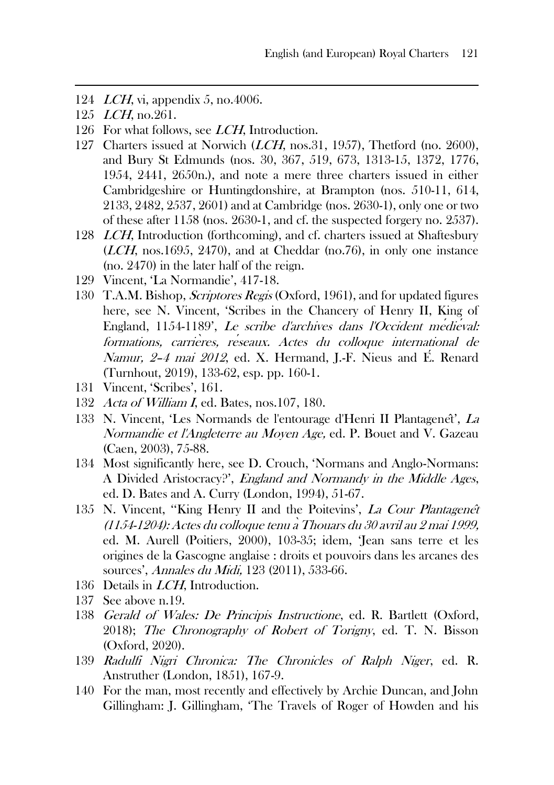- 124 LCH, vi, appendix 5, no.4006.
- 125 *LCH*, no.261.
- 126 For what follows, see *LCH*, Introduction.
- 127 Charters issued at Norwich (*LCH*, nos.31, 1957), Thetford (no. 2600), and Bury St Edmunds (nos. 30, 367, 519, 673, 1313-15, 1372, 1776, 1954, 2441, 2650n.), and note a mere three charters issued in either Cambridgeshire or Huntingdonshire, at Brampton (nos. 510-11, 614, 2133, 2482, 2537, 2601) and at Cambridge (nos. 2630-1), only one or two of these after 1158 (nos. 2630-1, and cf. the suspected forgery no. 2537).
- 128 LCH, Introduction (forthcoming), and cf. charters issued at Shaftesbury (LCH, nos.1695, 2470), and at Cheddar (no.76), in only one instance (no. 2470) in the later half of the reign.
- 129 Vincent, 'La Normandie', 417-18.
- 130 T.A.M. Bishop, *Scriptores Regis* (Oxford, 1961), and for updated figures here, see N. Vincent, 'Scribes in the Chancery of Henry II, King of England, 1154-1189', Le scribe d'archives dans l'Occident me*́*die*́*val: formations, carrie*̀*res, r<sup>e</sup>*́*seaux. Actes du colloque international de Namur, 2–4 mai 2012, ed. X. Hermand, J.-F. Nieus and É. Renard (Turnhout, 2019), 133-62, esp. pp. 160-1.
- 131 Vincent, 'Scribes', 161.
- 132 Acta of William I, ed. Bates, nos.107, 180.
- 133 N. Vincent, 'Les Normands de l'entourage d'Henri II Plantagenêt', La Normandie et l'Angleterre au Moyen Age, ed. P. Bouet and V. Gazeau (Caen, 2003), 75-88.
- 134 Most significantly here, see D. Crouch, 'Normans and Anglo-Normans: A Divided Aristocracy?', England and Normandy in the Middle Ages, ed. D. Bates and A. Curry (London, 1994), 51-67.
- 135 N. Vincent, ''King Henry II and the Poitevins', La Cour Plantagene*̂*<sup>t</sup> (1154-1204): Actes du colloque tenu a*̀*Thouars du 30 avril au 2 mai 1999, ed. M. Aurell (Poitiers, 2000), 103-35; idem, 'Jean sans terre et les origines de la Gascogne anglaise : droits et pouvoirs dans les arcanes des sources', Annales du Midi, 123 (2011), 533-66.
- 136 Details in *LCH*, Introduction.
- 137 See above n.19.
- 138 Gerald of Wales: De Principis Instructione, ed. R. Bartlett (Oxford, 2018); The Chronography of Robert of Torigny, ed. T. N. Bisson (Oxford, 2020).
- 139 Radulfi Nigri Chronica: The Chronicles of Ralph Niger, ed. R. Anstruther (London, 1851), 167-9.
- 140 For the man, most recently and effectively by Archie Duncan, and John Gillingham: J. Gillingham, 'The Travels of Roger of Howden and his